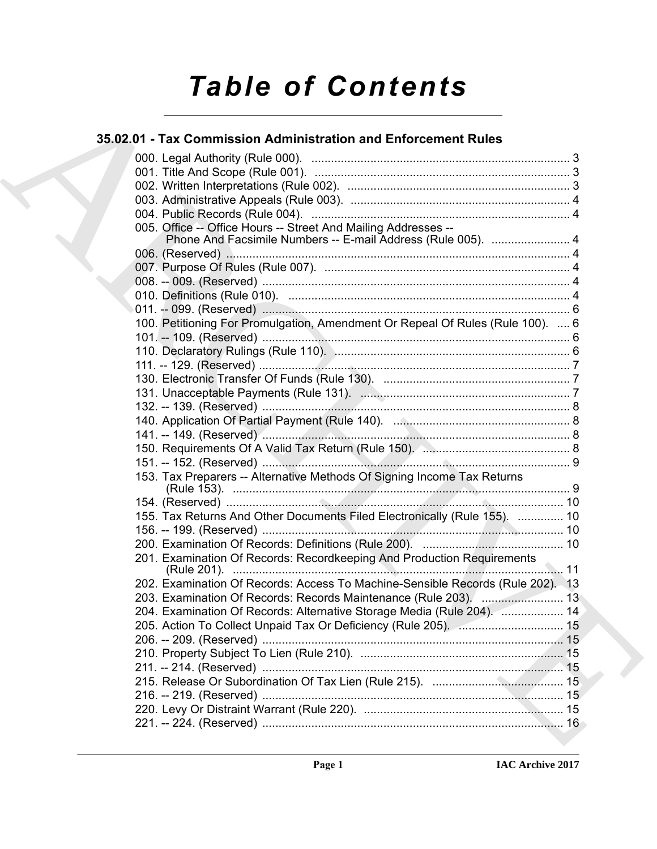# *Table of Contents*

### **35.02.01 - Tax Commission Administration and Enforcement Rules**

| 005. Office -- Office Hours -- Street And Mailing Addresses --<br>Phone And Facsimile Numbers -- E-mail Address (Rule 005).  4 |
|--------------------------------------------------------------------------------------------------------------------------------|
|                                                                                                                                |
|                                                                                                                                |
|                                                                                                                                |
|                                                                                                                                |
|                                                                                                                                |
| 100. Petitioning For Promulgation, Amendment Or Repeal Of Rules (Rule 100).  6                                                 |
|                                                                                                                                |
|                                                                                                                                |
|                                                                                                                                |
|                                                                                                                                |
|                                                                                                                                |
|                                                                                                                                |
|                                                                                                                                |
|                                                                                                                                |
|                                                                                                                                |
|                                                                                                                                |
| 153. Tax Preparers -- Alternative Methods Of Signing Income Tax Returns                                                        |
|                                                                                                                                |
| 155. Tax Returns And Other Documents Filed Electronically (Rule 155).  10                                                      |
|                                                                                                                                |
|                                                                                                                                |
| 201. Examination Of Records: Recordkeeping And Production Requirements                                                         |
| 202. Examination Of Records: Access To Machine-Sensible Records (Rule 202). 13                                                 |
| 203. Examination Of Records: Records Maintenance (Rule 203). ( 13                                                              |
| 204. Examination Of Records: Alternative Storage Media (Rule 204).  14                                                         |
|                                                                                                                                |
|                                                                                                                                |
|                                                                                                                                |
|                                                                                                                                |
|                                                                                                                                |
|                                                                                                                                |
|                                                                                                                                |
|                                                                                                                                |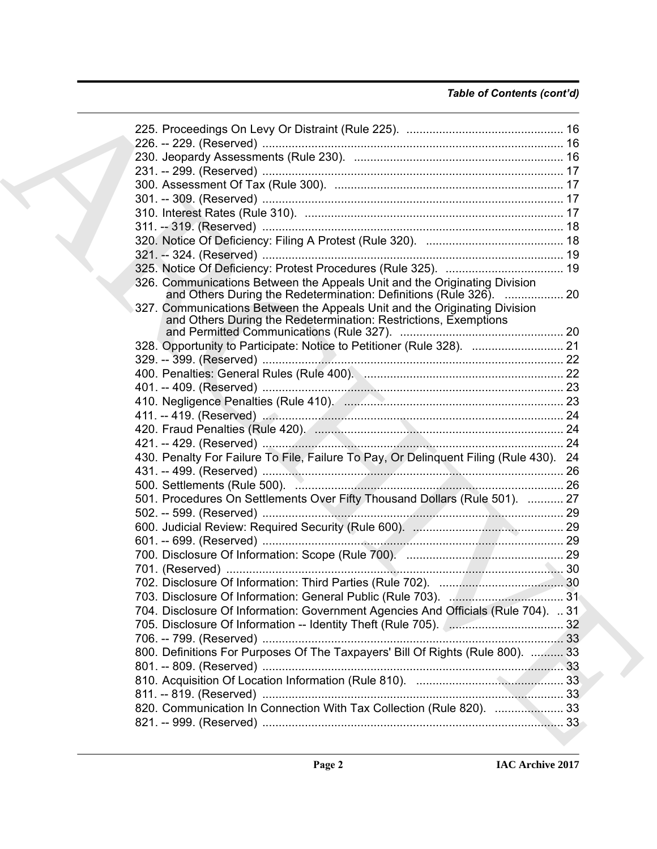### *Table of Contents (cont'd)*

| 326. Communications Between the Appeals Unit and the Originating Division<br>and Others During the Redetermination: Definitions (Rule 326).  20 |  |
|-------------------------------------------------------------------------------------------------------------------------------------------------|--|
| 327. Communications Between the Appeals Unit and the Originating Division<br>and Others During the Redetermination: Restrictions, Exemptions    |  |
|                                                                                                                                                 |  |
| 328. Opportunity to Participate: Notice to Petitioner (Rule 328).  21                                                                           |  |
|                                                                                                                                                 |  |
|                                                                                                                                                 |  |
|                                                                                                                                                 |  |
|                                                                                                                                                 |  |
|                                                                                                                                                 |  |
|                                                                                                                                                 |  |
|                                                                                                                                                 |  |
| 430. Penalty For Failure To File, Failure To Pay, Or Delinquent Filing (Rule 430). 24                                                           |  |
|                                                                                                                                                 |  |
|                                                                                                                                                 |  |
| 501. Procedures On Settlements Over Fifty Thousand Dollars (Rule 501).  27                                                                      |  |
|                                                                                                                                                 |  |
|                                                                                                                                                 |  |
|                                                                                                                                                 |  |
|                                                                                                                                                 |  |
|                                                                                                                                                 |  |
|                                                                                                                                                 |  |
|                                                                                                                                                 |  |
|                                                                                                                                                 |  |
| 704. Disclosure Of Information: Government Agencies And Officials (Rule 704).  31                                                               |  |
|                                                                                                                                                 |  |
|                                                                                                                                                 |  |
| 800. Definitions For Purposes Of The Taxpayers' Bill Of Rights (Rule 800).  33                                                                  |  |
|                                                                                                                                                 |  |
|                                                                                                                                                 |  |
|                                                                                                                                                 |  |
|                                                                                                                                                 |  |
|                                                                                                                                                 |  |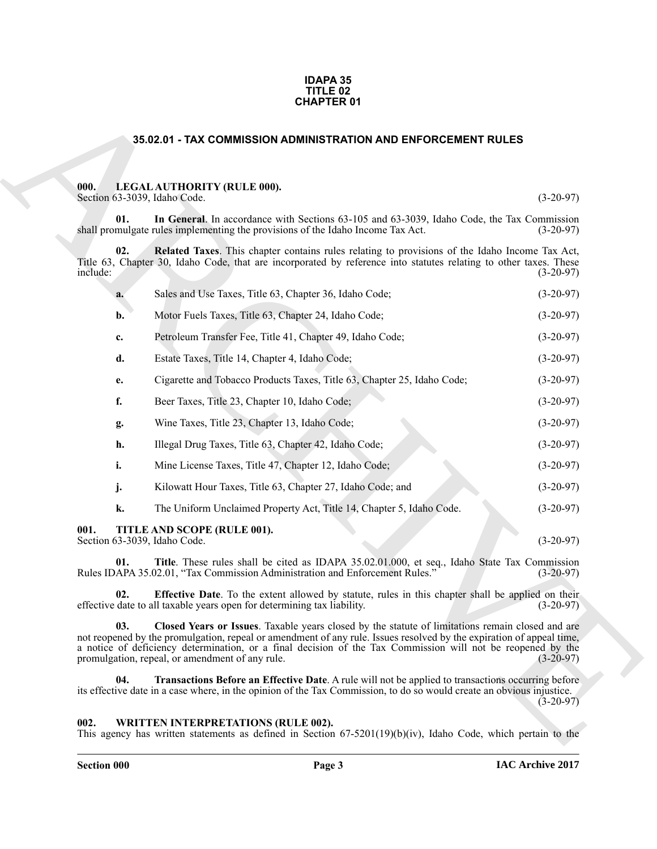#### **IDAPA 35 TITLE 02 CHAPTER 01**

#### <span id="page-2-5"></span>**35.02.01 - TAX COMMISSION ADMINISTRATION AND ENFORCEMENT RULES**

#### <span id="page-2-6"></span><span id="page-2-4"></span><span id="page-2-1"></span><span id="page-2-0"></span>**000. LEGAL AUTHORITY (RULE 000).**

|                 |                                                                                 | <b>CHAPTER 01</b>                                                                                                                                                                                                                                                                                                                       |             |
|-----------------|---------------------------------------------------------------------------------|-----------------------------------------------------------------------------------------------------------------------------------------------------------------------------------------------------------------------------------------------------------------------------------------------------------------------------------------|-------------|
|                 |                                                                                 | 35.02.01 - TAX COMMISSION ADMINISTRATION AND ENFORCEMENT RULES                                                                                                                                                                                                                                                                          |             |
| 000.            | LEGAL AUTHORITY (RULE 000).<br>Section 63-3039, Idaho Code.                     |                                                                                                                                                                                                                                                                                                                                         | $(3-20-97)$ |
| 01.             | shall promulgate rules implementing the provisions of the Idaho Income Tax Act. | In General. In accordance with Sections 63-105 and 63-3039, Idaho Code, the Tax Commission                                                                                                                                                                                                                                              | $(3-20-97)$ |
| 02.<br>include: |                                                                                 | Related Taxes. This chapter contains rules relating to provisions of the Idaho Income Tax Act,<br>Title 63, Chapter 30, Idaho Code, that are incorporated by reference into statutes relating to other taxes. These                                                                                                                     | $(3-20-97)$ |
| a.              | Sales and Use Taxes, Title 63, Chapter 36, Idaho Code;                          |                                                                                                                                                                                                                                                                                                                                         | $(3-20-97)$ |
| b.              | Motor Fuels Taxes, Title 63, Chapter 24, Idaho Code;                            |                                                                                                                                                                                                                                                                                                                                         | $(3-20-97)$ |
| c.              |                                                                                 | Petroleum Transfer Fee, Title 41, Chapter 49, Idaho Code;                                                                                                                                                                                                                                                                               | $(3-20-97)$ |
| d.              | Estate Taxes, Title 14, Chapter 4, Idaho Code;                                  |                                                                                                                                                                                                                                                                                                                                         | $(3-20-97)$ |
| e.              |                                                                                 | Cigarette and Tobacco Products Taxes, Title 63, Chapter 25, Idaho Code;                                                                                                                                                                                                                                                                 | $(3-20-97)$ |
| f.              | Beer Taxes, Title 23, Chapter 10, Idaho Code;                                   |                                                                                                                                                                                                                                                                                                                                         | $(3-20-97)$ |
| g.              | Wine Taxes, Title 23, Chapter 13, Idaho Code;                                   |                                                                                                                                                                                                                                                                                                                                         | $(3-20-97)$ |
| h.              | Illegal Drug Taxes, Title 63, Chapter 42, Idaho Code;                           |                                                                                                                                                                                                                                                                                                                                         | $(3-20-97)$ |
| i.              | Mine License Taxes, Title 47, Chapter 12, Idaho Code;                           |                                                                                                                                                                                                                                                                                                                                         | $(3-20-97)$ |
| j.              |                                                                                 | Kilowatt Hour Taxes, Title 63, Chapter 27, Idaho Code; and                                                                                                                                                                                                                                                                              | $(3-20-97)$ |
| k.              |                                                                                 | The Uniform Unclaimed Property Act, Title 14, Chapter 5, Idaho Code.                                                                                                                                                                                                                                                                    | $(3-20-97)$ |
| 001.            | TITLE AND SCOPE (RULE 001).<br>Section 63-3039, Idaho Code.                     |                                                                                                                                                                                                                                                                                                                                         | $(3-20-97)$ |
| 01.             |                                                                                 | Title. These rules shall be cited as IDAPA 35.02.01.000, et seq., Idaho State Tax Commission<br>Rules IDAPA 35.02.01, "Tax Commission Administration and Enforcement Rules."                                                                                                                                                            | $(3-20-97)$ |
| 02.             | effective date to all taxable years open for determining tax liability.         | <b>Effective Date</b> . To the extent allowed by statute, rules in this chapter shall be applied on their                                                                                                                                                                                                                               | $(3-20-97)$ |
| 03.             | promulgation, repeal, or amendment of any rule.                                 | Closed Years or Issues. Taxable years closed by the statute of limitations remain closed and are<br>not reopened by the promulgation, repeal or amendment of any rule. Issues resolved by the expiration of appeal time,<br>a notice of deficiency determination, or a final decision of the Tax Commission will not be reopened by the | $(3-20-97)$ |
| 04.             |                                                                                 | Transactions Before an Effective Date. A rule will not be applied to transactions occurring before<br>its effective date in a case where, in the opinion of the Tax Commission, to do so would create an obvious injustice.                                                                                                             | $(3-20-97)$ |
| 002.            | <b>WRITTEN INTERPRETATIONS (RULE 002).</b>                                      | This agency has written statements as defined in Section $67-5201(19)(b)(iv)$ , Idaho Code, which pertain to the                                                                                                                                                                                                                        |             |

#### <span id="page-2-11"></span><span id="page-2-10"></span><span id="page-2-9"></span><span id="page-2-8"></span><span id="page-2-7"></span><span id="page-2-3"></span><span id="page-2-2"></span>**002. WRITTEN INTERPRETATIONS (RULE 002).**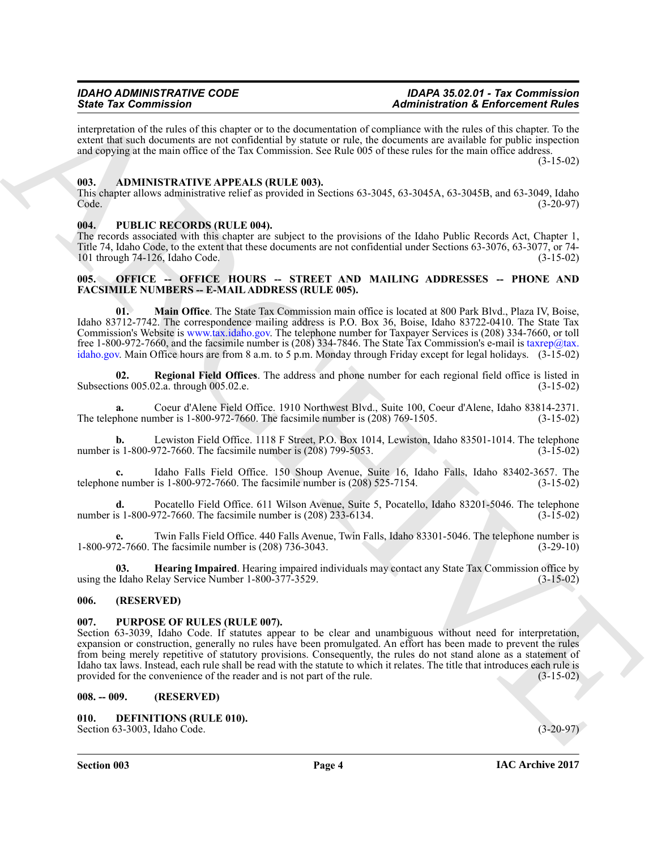interpretation of the rules of this chapter or to the documentation of compliance with the rules of this chapter. To the extent that such documents are not confidential by statute or rule, the documents are available for public inspection and copying at the main office of the Tax Commission. See Rule 005 of these rules for the main office address.

(3-15-02)

#### <span id="page-3-0"></span>**003. ADMINISTRATIVE APPEALS (RULE 003).**

This chapter allows administrative relief as provided in Sections 63-3045, 63-3045A, 63-3045B, and 63-3049, Idaho Code. (3-20-97)

#### <span id="page-3-1"></span>**004. PUBLIC RECORDS (RULE 004).**

The records associated with this chapter are subject to the provisions of the Idaho Public Records Act, Chapter 1, Title 74, Idaho Code, to the extent that these documents are not confidential under Sections 63-3076, 63-3077, or 74-<br>101 through 74-126. Idaho Code. (3-15-02) 101 through 74-126, Idaho Code.

#### <span id="page-3-2"></span>**005. OFFICE -- OFFICE HOURS -- STREET AND MAILING ADDRESSES -- PHONE AND FACSIMILE NUMBERS -- E-MAIL ADDRESS (RULE 005).**

**01. Main Office**. The State Tax Commission main office is located at 800 Park Blvd., Plaza IV, Boise, Idaho 83712-7742. The correspondence mailing address is P.O. Box 36, Boise, Idaho 83722-0410. The State Tax Commission's Website is www.tax.idaho.gov. The telephone number for Taxpayer Services is (208) 334-7660, or toll free 1-800-972-7660, and the facsimile number is (208) 334-7846. The State Tax Commission's e-mail is taxrep@tax. idaho.gov. Main Office hours are from 8 a.m. to 5 p.m. Monday through Friday except for legal holidays. (3-15-02)

**02. Regional Field Offices**. The address and phone number for each regional field office is listed in Subsections 005.02.a. through 005.02.e. (3-15-02)

**a.** Coeur d'Alene Field Office. 1910 Northwest Blvd., Suite 100, Coeur d'Alene, Idaho 83814-2371.<br>
obtone number is 1-800-972-7660. The facsimile number is (208) 769-1505. (3-15-02) The telephone number is  $1-800-972-7660$ . The facsimile number is  $(208) 769-1505$ .

**b.** Lewiston Field Office. 1118 F Street, P.O. Box 1014, Lewiston, Idaho 83501-1014. The telephone is 1-800-972-7660. The facsimile number is (208) 799-5053. number is  $1-800-972-7660$ . The facsimile number is  $(208)$  799-5053.

**c.** Idaho Falls Field Office. 150 Shoup Avenue, Suite 16, Idaho Falls, Idaho 83402-3657. The telephone number is 1-800-972-7660. The facsimile number is (208) 525-7154. (3-15-02)

**d.** Pocatello Field Office. 611 Wilson Avenue, Suite 5, Pocatello, Idaho 83201-5046. The telephone s 1-800-972-7660. The facsimile number is (208) 233-6134. number is  $1-800-972-7660$ . The facsimile number is  $(208)$  233-6134.

**e.** Twin Falls Field Office. 440 Falls Avenue, Twin Falls, Idaho 83301-5046. The telephone number is 1-800-972-7660. The facsimile number is (208) 736-3043.

**03. Hearing Impaired**. Hearing impaired individuals may contact any State Tax Commission office by using the Idaho Relay Service Number 1-800-377-3529. (3-15-02)

#### <span id="page-3-3"></span>**006. (RESERVED)**

#### <span id="page-3-4"></span>**007. PURPOSE OF RULES (RULE 007).**

Since To Commission in the three matrix and the planetaristic and the second relation of the second relation of the second relation in the second relation of the second relation of the second relation of the second relati Section 63-3039, Idaho Code. If statutes appear to be clear and unambiguous without need for interpretation, expansion or construction, generally no rules have been promulgated. An effort has been made to prevent the rules from being merely repetitive of statutory provisions. Consequently, the rules do not stand alone as a statement of Idaho tax laws. Instead, each rule shall be read with the statute to which it relates. The title that introduces each rule is provided for the convenience of the reader and is not part of the rule. (3-15-02)

#### <span id="page-3-5"></span>**008. -- 009. (RESERVED)**

#### <span id="page-3-7"></span><span id="page-3-6"></span>**010. DEFINITIONS (RULE 010).**

Section 63-3003, Idaho Code. (3-20-97)

**Section 003 Page 4**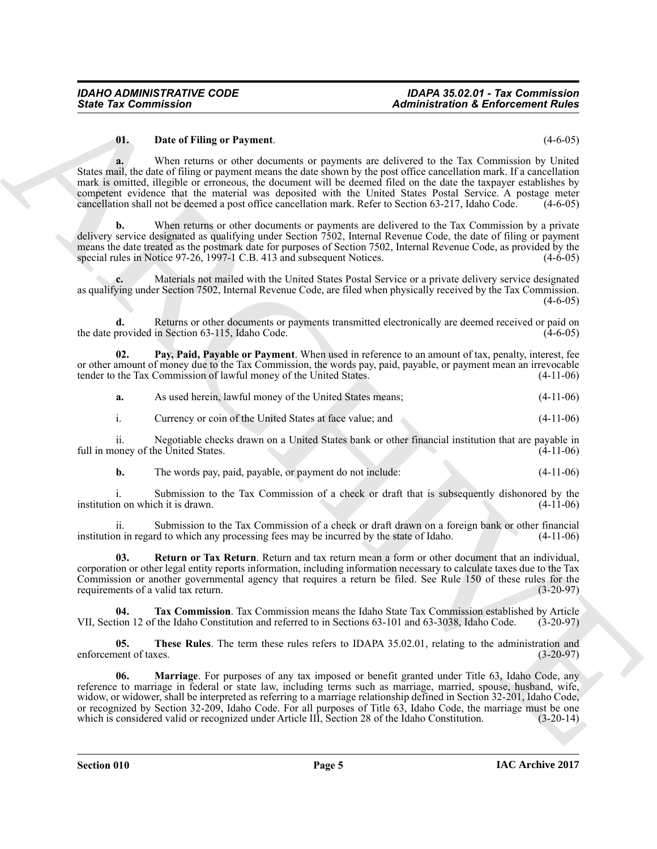#### <span id="page-4-0"></span>**01. Date of Filing or Payment**. (4-6-05)

Sinte Yar Commission<br>
University Theorem Payment<br>
University Payment<br>
State of the Commission Control of the State of the State of the State of the State of the State<br>
State of the State of the State of the State of the S **a.** When returns or other documents or payments are delivered to the Tax Commission by United States mail, the date of filing or payment means the date shown by the post office cancellation mark. If a cancellation mark is omitted, illegible or erroneous, the document will be deemed filed on the date the taxpayer establishes by competent evidence that the material was deposited with the United States Postal Service. A postage meter cancellation shall not be deemed a post office cancellation mark. Refer to Section 63-217, Idaho Code. (4-6-05)

When returns or other documents or payments are delivered to the Tax Commission by a private delivery service designated as qualifying under Section 7502, Internal Revenue Code, the date of filing or payment means the date treated as the postmark date for purposes of Section 7502, Internal Revenue Code, as provided by the special rules in Notice 97-26, 1997-1 C.B. 413 and subsequent Notices. (4-6-05) special rules in Notice 97-26, 1997-1 C.B. 413 and subsequent Notices.

**c.** Materials not mailed with the United States Postal Service or a private delivery service designated as qualifying under Section 7502, Internal Revenue Code, are filed when physically received by the Tax Commission. (4-6-05)

**d.** Returns or other documents or payments transmitted electronically are deemed received or paid on the date provided in Section  $63-115$ , Idaho Code. (4-6-05)

**02. Pay, Paid, Payable or Payment**. When used in reference to an amount of tax, penalty, interest, fee or other amount of money due to the Tax Commission, the words pay, paid, payable, or payment mean an irrevocable tender to the Tax Commission of lawful money of the United States. (4-11-06)

<span id="page-4-2"></span>**a.** As used herein, lawful money of the United States means; (4-11-06)

i. Currency or coin of the United States at face value; and (4-11-06)

ii. Negotiable checks drawn on a United States bank or other financial institution that are payable in full in money of the United States.

**b.** The words pay, paid, payable, or payment do not include:  $(4-11-06)$ 

i. Submission to the Tax Commission of a check or draft that is subsequently dishonored by the institution on which it is drawn. (4-11-06)

ii. Submission to the Tax Commission of a check or draft drawn on a foreign bank or other financial institution in regard to which any processing fees may be incurred by the state of Idaho. (4-11-06)

<span id="page-4-3"></span>**03. Return or Tax Return**. Return and tax return mean a form or other document that an individual, corporation or other legal entity reports information, including information necessary to calculate taxes due to the Tax Commission or another governmental agency that requires a return be filed. See Rule 150 of these rules for the requirements of a valid tax return. (3-20-97)

<span id="page-4-4"></span>**04. Tax Commission**. Tax Commission means the Idaho State Tax Commission established by Article VII, Section 12 of the Idaho Constitution and referred to in Sections 63-101 and 63-3038, Idaho Code. (3-20-97)

<span id="page-4-5"></span>**05.** These Rules. The term these rules refers to IDAPA 35.02.01, relating to the administration and nent of taxes. (3-20-97) enforcement of taxes.

<span id="page-4-1"></span>**06. Marriage**. For purposes of any tax imposed or benefit granted under Title 63, Idaho Code, any reference to marriage in federal or state law, including terms such as marriage, married, spouse, husband, wife, widow, or widower, shall be interpreted as referring to a marriage relationship defined in Section 32-201, Idaho Code, or recognized by Section 32-209, Idaho Code. For all purposes of Title 63, Idaho Code, the marriage must be one<br>which is considered valid or recognized under Article III, Section 28 of the Idaho Constitution. (3-20-14) which is considered valid or recognized under Article III, Section 28 of the Idaho Constitution.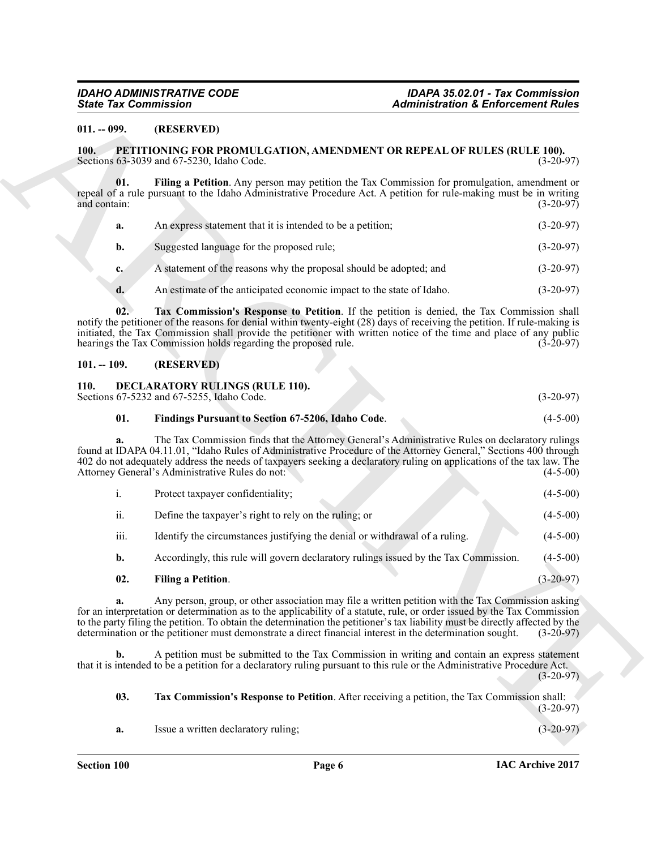#### <span id="page-5-0"></span>**011. -- 099. (RESERVED)**

#### <span id="page-5-8"></span><span id="page-5-1"></span>**100. PETITIONING FOR PROMULGATION, AMENDMENT OR REPEAL OF RULES (RULE 100).**<br>Sections 63-3039 and 67-5230. Idaho Code. (3-20-97) Sections 63-3039 and 67-5230, Idaho Code.

<span id="page-5-10"></span><span id="page-5-9"></span>

| а.             | An express statement that it is intended to be a petition;            | $(3-20-97)$ |
|----------------|-----------------------------------------------------------------------|-------------|
| <b>b.</b>      | Suggested language for the proposed rule;                             | $(3-20-97)$ |
| $c_{\bullet}$  | A statement of the reasons why the proposal should be adopted; and    | $(3-20-97)$ |
| $\mathbf{d}$ . | An estimate of the anticipated economic impact to the state of Idaho. | $(3-20-97)$ |

#### <span id="page-5-2"></span>**101. -- 109. (RESERVED)**

#### <span id="page-5-4"></span><span id="page-5-3"></span>**110. DECLARATORY RULINGS (RULE 110).**

#### <span id="page-5-6"></span>**01. Findings Pursuant to Section 67-5206, Idaho Code**. (4-5-00)

| <b>State Tax Commission</b> |                                                                                                                                                                                                                                                                                                                                                                                                                                                                              | <b>Administration &amp; Enforcement Rules</b> |  |  |
|-----------------------------|------------------------------------------------------------------------------------------------------------------------------------------------------------------------------------------------------------------------------------------------------------------------------------------------------------------------------------------------------------------------------------------------------------------------------------------------------------------------------|-----------------------------------------------|--|--|
| $011. - 099.$               | (RESERVED)                                                                                                                                                                                                                                                                                                                                                                                                                                                                   |                                               |  |  |
| <b>100.</b>                 | <b>PETITIONING FOR PROMULGATION, AMENDMENT OR REPEAL OF RULES (RULE 100).</b><br>Sections 63-3039 and 67-5230, Idaho Code.                                                                                                                                                                                                                                                                                                                                                   | $(3-20-97)$                                   |  |  |
| 01.<br>and contain:         | Filing a Petition. Any person may petition the Tax Commission for promulgation, amendment or<br>repeal of a rule pursuant to the Idaho Administrative Procedure Act. A petition for rule-making must be in writing                                                                                                                                                                                                                                                           | $(3-20-97)$                                   |  |  |
| a.                          | An express statement that it is intended to be a petition;                                                                                                                                                                                                                                                                                                                                                                                                                   | $(3-20-97)$                                   |  |  |
| b.                          | Suggested language for the proposed rule;                                                                                                                                                                                                                                                                                                                                                                                                                                    | $(3-20-97)$                                   |  |  |
| $c_{\cdot}$                 | A statement of the reasons why the proposal should be adopted; and                                                                                                                                                                                                                                                                                                                                                                                                           | $(3-20-97)$                                   |  |  |
| d.                          | An estimate of the anticipated economic impact to the state of Idaho.                                                                                                                                                                                                                                                                                                                                                                                                        | $(3-20-97)$                                   |  |  |
| 02.                         | Tax Commission's Response to Petition. If the petition is denied, the Tax Commission shall<br>notify the petitioner of the reasons for denial within twenty-eight (28) days of receiving the petition. If rule-making is<br>initiated, the Tax Commission shall provide the petitioner with written notice of the time and place of any public<br>hearings the Tax Commission holds regarding the proposed rule.                                                             | $(3-20-97)$                                   |  |  |
| $101. - 109.$               | (RESERVED)                                                                                                                                                                                                                                                                                                                                                                                                                                                                   |                                               |  |  |
| <b>110.</b>                 | <b>DECLARATORY RULINGS (RULE 110).</b><br>Sections 67-5232 and 67-5255, Idaho Code.                                                                                                                                                                                                                                                                                                                                                                                          | $(3-20-97)$                                   |  |  |
| 01.                         | Findings Pursuant to Section 67-5206, Idaho Code.                                                                                                                                                                                                                                                                                                                                                                                                                            | $(4-5-00)$                                    |  |  |
| a.                          | The Tax Commission finds that the Attorney General's Administrative Rules on declaratory rulings<br>found at IDAPA 04.11.01, "Idaho Rules of Administrative Procedure of the Attorney General," Sections 400 through<br>402 do not adequately address the needs of taxpayers seeking a declaratory ruling on applications of the tax law. The<br>Attorney General's Administrative Rules do not:                                                                             | $(4-5-00)$                                    |  |  |
| i.                          | Protect taxpayer confidentiality;                                                                                                                                                                                                                                                                                                                                                                                                                                            | $(4-5-00)$                                    |  |  |
| ii.                         | Define the taxpayer's right to rely on the ruling; or                                                                                                                                                                                                                                                                                                                                                                                                                        | $(4-5-00)$                                    |  |  |
| iii.                        | Identify the circumstances justifying the denial or withdrawal of a ruling.                                                                                                                                                                                                                                                                                                                                                                                                  | $(4-5-00)$                                    |  |  |
| b.                          | Accordingly, this rule will govern declaratory rulings issued by the Tax Commission.                                                                                                                                                                                                                                                                                                                                                                                         | $(4-5-00)$                                    |  |  |
| 02.                         | Filing a Petition.                                                                                                                                                                                                                                                                                                                                                                                                                                                           | $(3-20-97)$                                   |  |  |
| a.                          | Any person, group, or other association may file a written petition with the Tax Commission asking<br>for an interpretation or determination as to the applicability of a statute, rule, or order issued by the Tax Commission<br>to the party filing the petition. To obtain the determination the petitioner's tax liability must be directly affected by the<br>determination or the petitioner must demonstrate a direct financial interest in the determination sought. | $(3-20-97)$                                   |  |  |
| b.                          | A petition must be submitted to the Tax Commission in writing and contain an express statement<br>that it is intended to be a petition for a declaratory ruling pursuant to this rule or the Administrative Procedure Act.                                                                                                                                                                                                                                                   | $(3-20-97)$                                   |  |  |
| 03.                         | Tax Commission's Response to Petition. After receiving a petition, the Tax Commission shall:                                                                                                                                                                                                                                                                                                                                                                                 | $(3-20-97)$                                   |  |  |
|                             |                                                                                                                                                                                                                                                                                                                                                                                                                                                                              |                                               |  |  |

#### <span id="page-5-5"></span>**02. Filing a Petition**. (3-20-97)

### <span id="page-5-7"></span>**03. Tax Commission's Response to Petition**. After receiving a petition, the Tax Commission shall: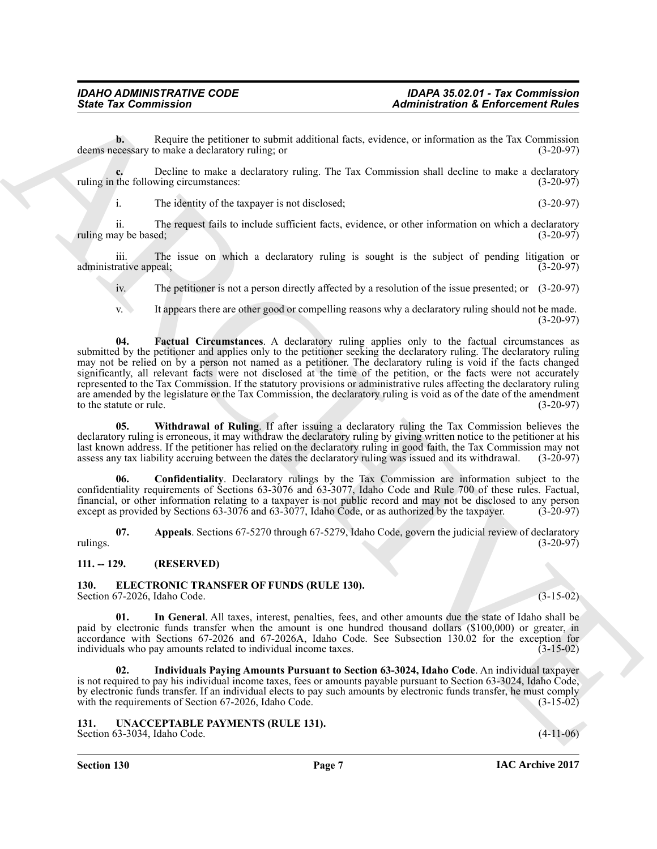**b.** Require the petitioner to submit additional facts, evidence, or information as the Tax Commission deems necessary to make a declaratory ruling; or (3-20-97)

**c.** Decline to make a declaratory ruling. The Tax Commission shall decline to make a declaratory the following circumstances: (3-20-97) ruling in the following circumstances:

i. The identity of the taxpayer is not disclosed; (3-20-97)

ii. The request fails to include sufficient facts, evidence, or other information on which a declaratory ay be based; (3-20-97) ruling may be based;

iii. The issue on which a declaratory ruling is sought is the subject of pending litigation or rative appeal: (3-20-97) administrative appeal;

iv. The petitioner is not a person directly affected by a resolution of the issue presented; or (3-20-97)

<span id="page-6-5"></span>v. It appears there are other good or compelling reasons why a declaratory ruling should not be made. (3-20-97)

Sinte Yar Commission<br>
Beach and the political and the state of the state of the state of the state of the state of the state of the state of the state of the state of the state of the state of the state of the state of th **04. Factual Circumstances**. A declaratory ruling applies only to the factual circumstances as submitted by the petitioner and applies only to the petitioner seeking the declaratory ruling. The declaratory ruling may not be relied on by a person not named as a petitioner. The declaratory ruling is void if the facts changed significantly, all relevant facts were not disclosed at the time of the petition, or the facts were not accurately represented to the Tax Commission. If the statutory provisions or administrative rules affecting the declaratory ruling are amended by the legislature or the Tax Commission, the declaratory ruling is void as of the date of the amendment<br>to the statute or rule. (3-20-97) to the statute or rule.

<span id="page-6-6"></span>**05. Withdrawal of Ruling**. If after issuing a declaratory ruling the Tax Commission believes the declaratory ruling is erroneous, it may withdraw the declaratory ruling by giving written notice to the petitioner at his last known address. If the petitioner has relied on the declaratory ruling in good faith, the Tax Commission may not assess any tax liability accruing between the dates the declaratory ruling was issued and its withdrawal. assess any tax liability accruing between the dates the declaratory ruling was issued and its withdrawal.

<span id="page-6-4"></span>**06. Confidentiality**. Declaratory rulings by the Tax Commission are information subject to the confidentiality requirements of Sections 63-3076 and 63-3077, Idaho Code and Rule 700 of these rules. Factual, financial, or other information relating to a taxpayer is not public record and may not be disclosed to any person except as provided by Sections 63-3076 and 63-3077, Idaho Code, or as authorized by the taxpayer. (3-20-97)

<span id="page-6-3"></span>**07. Appeals**. Sections 67-5270 through 67-5279, Idaho Code, govern the judicial review of declaratory rulings.  $(3-20-97)$ 

#### <span id="page-6-0"></span>**111. -- 129. (RESERVED)**

#### <span id="page-6-7"></span><span id="page-6-1"></span>**130. ELECTRONIC TRANSFER OF FUNDS (RULE 130).** Section 67-2026, Idaho Code. (3-15-02)

<span id="page-6-8"></span>**01. In General**. All taxes, interest, penalties, fees, and other amounts due the state of Idaho shall be paid by electronic funds transfer when the amount is one hundred thousand dollars (\$100,000) or greater, in accordance with Sections 67-2026 and 67-2026A, Idaho Code. See Subsection 130.02 for the exception for individuals who pay amounts related to individual income taxes. (3-15-02) individuals who pay amounts related to individual income taxes.

<span id="page-6-9"></span>**02. Individuals Paying Amounts Pursuant to Section 63-3024, Idaho Code**. An individual taxpayer is not required to pay his individual income taxes, fees or amounts payable pursuant to Section 63-3024, Idaho Code, by electronic funds transfer. If an individual elects to pay such amounts by electronic funds transfer, he must comply with the requirements of Section 67-2026, Idaho Code. (3-15-02) with the requirements of Section 67-2026, Idaho Code.

<span id="page-6-10"></span><span id="page-6-2"></span>**131. UNACCEPTABLE PAYMENTS (RULE 131).** Section 63-3034, Idaho Code. (4-11-06)

**Section 130 Page 7**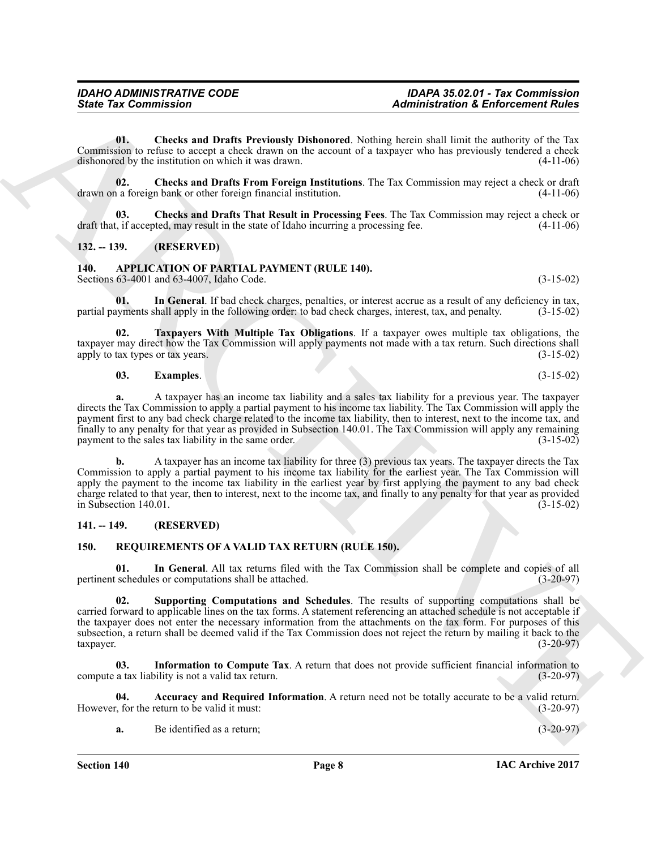<span id="page-7-14"></span>**01. Checks and Drafts Previously Dishonored**. Nothing herein shall limit the authority of the Tax Commission to refuse to accept a check drawn on the account of a taxpayer who has previously tendered a check dishonored by the institution on which it was drawn. (4-11-06) dishonored by the institution on which it was drawn.

<span id="page-7-13"></span>**02. Checks and Drafts From Foreign Institutions**. The Tax Commission may reject a check or draft drawn on a foreign bank or other foreign financial institution.

<span id="page-7-15"></span>**03. Checks and Drafts That Result in Processing Fees**. The Tax Commission may reject a check or draft that, if accepted, may result in the state of Idaho incurring a processing fee. (4-11-06)

### <span id="page-7-0"></span>**132. -- 139. (RESERVED)**

<span id="page-7-4"></span><span id="page-7-1"></span>**140. APPLICATION OF PARTIAL PAYMENT (RULE 140).** Sections 63-4001 and 63-4007, Idaho Code. (3-15-02)

<span id="page-7-6"></span>**01. In General**. If bad check charges, penalties, or interest accrue as a result of any deficiency in tax, partial payments shall apply in the following order: to bad check charges, interest, tax, and penalty. (3-15-02)

**02. Taxpayers With Multiple Tax Obligations**. If a taxpayer owes multiple tax obligations, the taxpayer may direct how the Tax Commission will apply payments not made with a tax return. Such directions shall apply to tax types or tax years. (3-15-02) apply to tax types or tax years.

#### <span id="page-7-7"></span><span id="page-7-5"></span>**03. Examples.** (3-15-02)

**a.** A taxpayer has an income tax liability and a sales tax liability for a previous year. The taxpayer directs the Tax Commission to apply a partial payment to his income tax liability. The Tax Commission will apply the payment first to any bad check charge related to the income tax liability, then to interest, next to the income tax, and finally to any penalty for that year as provided in Subsection 140.01. The Tax Commission will apply any remaining payment to the sales tax liability in the same order. (3-15-02)

Sinte Fax Commission<br>
Unit, Checks and Durin Previously Dialogoetal, Notice and References Folder<br>
Commission of the ARCHIVERY (RITE Section 2014)<br>
Commission of the ARCHIVERY (RITE Section 2014)<br>
Archivery of the Commiss **b.** A taxpayer has an income tax liability for three (3) previous tax years. The taxpayer directs the Tax Commission to apply a partial payment to his income tax liability for the earliest year. The Tax Commission will apply the payment to the income tax liability in the earliest year by first applying the payment to any bad check charge related to that year, then to interest, next to the income tax, and finally to any penalty for that year as provided in Subsection 140.01. (3-15-02)

#### <span id="page-7-2"></span>**141. -- 149. (RESERVED)**

#### <span id="page-7-8"></span><span id="page-7-3"></span>**150. REQUIREMENTS OF A VALID TAX RETURN (RULE 150).**

<span id="page-7-10"></span>**01. In General**. All tax returns filed with the Tax Commission shall be complete and copies of all pertinent schedules or computations shall be attached. (3-20-97)

<span id="page-7-12"></span>**02. Supporting Computations and Schedules**. The results of supporting computations shall be carried forward to applicable lines on the tax forms. A statement referencing an attached schedule is not acceptable if the taxpayer does not enter the necessary information from the attachments on the tax form. For purposes of this subsection, a return shall be deemed valid if the Tax Commission does not reject the return by mailing it back to the taxpayer. taxpayer. (3-20-97)

<span id="page-7-11"></span>**03. Information to Compute Tax**. A return that does not provide sufficient financial information to compute a tax liability is not a valid tax return. (3-20-97)

**04.** Accuracy and Required Information. A return need not be totally accurate to be a valid return.<br>  $\frac{3-20-97}{2}$ However, for the return to be valid it must:

<span id="page-7-9"></span>**a.** Be identified as a return; (3-20-97)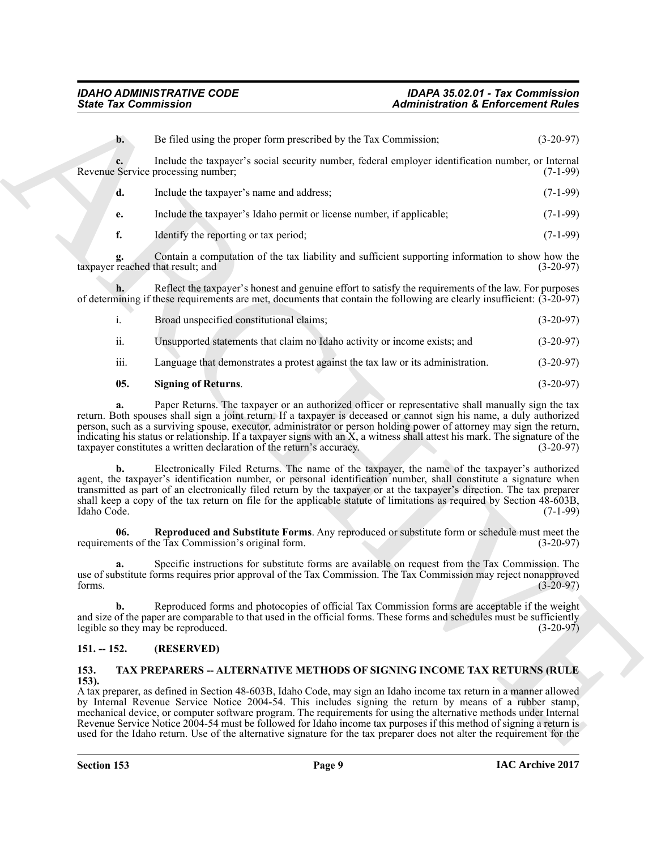| <b>State Tax Commission</b>             |                                                                                                                                                                                                                                                                                                                                                                                                                                                                                                                                                                                                                                                                                                                                                                                 | <b>Administration &amp; Enforcement Rules</b> |             |
|-----------------------------------------|---------------------------------------------------------------------------------------------------------------------------------------------------------------------------------------------------------------------------------------------------------------------------------------------------------------------------------------------------------------------------------------------------------------------------------------------------------------------------------------------------------------------------------------------------------------------------------------------------------------------------------------------------------------------------------------------------------------------------------------------------------------------------------|-----------------------------------------------|-------------|
| $\mathbf{b}$ .                          | Be filed using the proper form prescribed by the Tax Commission;                                                                                                                                                                                                                                                                                                                                                                                                                                                                                                                                                                                                                                                                                                                |                                               | $(3-20-97)$ |
|                                         | Include the taxpayer's social security number, federal employer identification number, or Internal<br>Revenue Service processing number;                                                                                                                                                                                                                                                                                                                                                                                                                                                                                                                                                                                                                                        |                                               | $(7-1-99)$  |
| d.                                      | Include the taxpayer's name and address;                                                                                                                                                                                                                                                                                                                                                                                                                                                                                                                                                                                                                                                                                                                                        |                                               | $(7-1-99)$  |
| e.                                      | Include the taxpayer's Idaho permit or license number, if applicable;                                                                                                                                                                                                                                                                                                                                                                                                                                                                                                                                                                                                                                                                                                           |                                               | $(7-1-99)$  |
| f.                                      | Identify the reporting or tax period;                                                                                                                                                                                                                                                                                                                                                                                                                                                                                                                                                                                                                                                                                                                                           |                                               | $(7-1-99)$  |
| g.<br>taxpayer reached that result; and | Contain a computation of the tax liability and sufficient supporting information to show how the                                                                                                                                                                                                                                                                                                                                                                                                                                                                                                                                                                                                                                                                                |                                               | $(3-20-97)$ |
|                                         | Reflect the taxpayer's honest and genuine effort to satisfy the requirements of the law. For purposes<br>of determining if these requirements are met, documents that contain the following are clearly insufficient: (3-20-97)                                                                                                                                                                                                                                                                                                                                                                                                                                                                                                                                                 |                                               |             |
| i.                                      | Broad unspecified constitutional claims;                                                                                                                                                                                                                                                                                                                                                                                                                                                                                                                                                                                                                                                                                                                                        |                                               | $(3-20-97)$ |
| ii.                                     | Unsupported statements that claim no Idaho activity or income exists; and                                                                                                                                                                                                                                                                                                                                                                                                                                                                                                                                                                                                                                                                                                       |                                               | $(3-20-97)$ |
| iii.                                    | Language that demonstrates a protest against the tax law or its administration.                                                                                                                                                                                                                                                                                                                                                                                                                                                                                                                                                                                                                                                                                                 |                                               | $(3-20-97)$ |
| 05.                                     | <b>Signing of Returns.</b>                                                                                                                                                                                                                                                                                                                                                                                                                                                                                                                                                                                                                                                                                                                                                      |                                               | $(3-20-97)$ |
| a.<br>b.                                | Paper Returns. The taxpayer or an authorized officer or representative shall manually sign the tax<br>return. Both spouses shall sign a joint return. If a taxpayer is deceased or cannot sign his name, a duly authorized<br>person, such as a surviving spouse, executor, administrator or person holding power of attorney may sign the return,<br>indicating his status or relationship. If a taxpayer signs with an X, a witness shall attest his mark. The signature of the<br>taxpayer constitutes a written declaration of the return's accuracy.<br>Electronically Filed Returns. The name of the taxpayer, the name of the taxpayer's authorized<br>agent, the taxpayer's identification number, or personal identification number, shall constitute a signature when |                                               | $(3-20-97)$ |
| Idaho Code.                             | transmitted as part of an electronically filed return by the taxpayer or at the taxpayer's direction. The tax preparer<br>shall keep a copy of the tax return on file for the applicable statute of limitations as required by Section 48-603B,                                                                                                                                                                                                                                                                                                                                                                                                                                                                                                                                 |                                               | $(7-1-99)$  |
| 06.                                     | Reproduced and Substitute Forms. Any reproduced or substitute form or schedule must meet the<br>requirements of the Tax Commission's original form.                                                                                                                                                                                                                                                                                                                                                                                                                                                                                                                                                                                                                             |                                               | $(3-20-97)$ |
|                                         | Specific instructions for substitute forms are available on request from the Tax Commission. The<br>use of substitute forms requires prior approval of the Tax Commission. The Tax Commission may reject nonapproved<br>forms (3-20-97)                                                                                                                                                                                                                                                                                                                                                                                                                                                                                                                                         |                                               |             |
| b.                                      | Reproduced forms and photocopies of official Tax Commission forms are acceptable if the weight<br>and size of the paper are comparable to that used in the official forms. These forms and schedules must be sufficiently<br>legible so they may be reproduced.                                                                                                                                                                                                                                                                                                                                                                                                                                                                                                                 |                                               | $(3-20-97)$ |
| $151. - 152.$                           | (RESERVED)                                                                                                                                                                                                                                                                                                                                                                                                                                                                                                                                                                                                                                                                                                                                                                      |                                               |             |
| 153.<br>$153$ ).                        | TAX PREPARERS -- ALTERNATIVE METHODS OF SIGNING INCOME TAX RETURNS (RULE                                                                                                                                                                                                                                                                                                                                                                                                                                                                                                                                                                                                                                                                                                        |                                               |             |
|                                         | A tax preparer, as defined in Section 48-603B, Idaho Code, may sign an Idaho income tax return in a manner allowed<br>by Internal Revenue Service Notice 2004-54. This includes signing the return by means of a rubber stamp,<br>mechanical device, or computer software program. The requirements for using the alternative methods under Internal<br>Revenue Service Notice 2004-54 must be followed for Idaho income tax purposes if this method of signing a return is                                                                                                                                                                                                                                                                                                     |                                               |             |

### <span id="page-8-3"></span><span id="page-8-2"></span>**05. Signing of Returns**. (3-20-97)

### <span id="page-8-0"></span>**151. -- 152. (RESERVED)**

#### <span id="page-8-4"></span><span id="page-8-1"></span>**153. TAX PREPARERS -- ALTERNATIVE METHODS OF SIGNING INCOME TAX RETURNS (RULE 153).**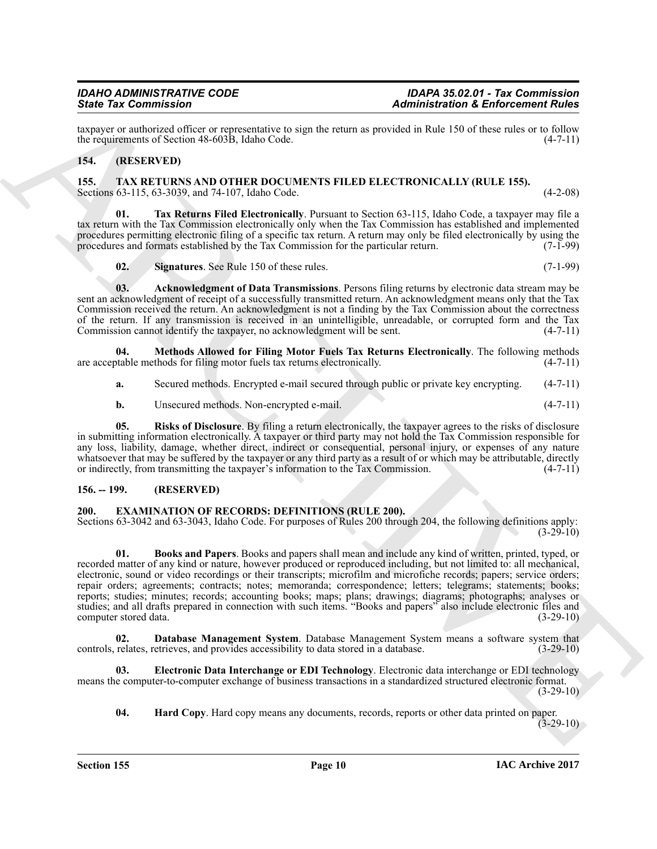taxpayer or authorized officer or representative to sign the return as provided in Rule 150 of these rules or to follow<br>the requirements of Section 48-603B, Idaho Code. (4-7-11) the requirements of Section 48-603B, Idaho Code.

#### <span id="page-9-9"></span><span id="page-9-0"></span>**154. (RESERVED)**

<span id="page-9-1"></span>**155. TAX RETURNS AND OTHER DOCUMENTS FILED ELECTRONICALLY (RULE 155).** Sections 63-115, 63-3039, and 74-107, Idaho Code. (4-2-08)

**01. Tax Returns Filed Electronically**. Pursuant to Section 63-115, Idaho Code, a taxpayer may file a tax return with the Tax Commission electronically only when the Tax Commission has established and implemented procedures permitting electronic filing of a specific tax return. A return may only be filed electronically by using the procedures and formats established by the Tax Commission for the particular return. (7-1-99) procedures and formats established by the Tax Commission for the particular return.

<span id="page-9-14"></span><span id="page-9-13"></span><span id="page-9-10"></span>**02. Signatures**. See Rule 150 of these rules. (7-1-99)

**03. Acknowledgment of Data Transmissions**. Persons filing returns by electronic data stream may be sent an acknowledgment of receipt of a successfully transmitted return. An acknowledgment means only that the Tax Commission received the return. An acknowledgment is not a finding by the Tax Commission about the correctness of the return. If any transmission is received in an unintelligible, unreadable, or corrupted form and the Tax Commission cannot identify the taxpayer, no acknowledgment will be sent. (4-7-11)

**04.** Methods Allowed for Filing Motor Fuels Tax Returns Electronically. The following methods totable methods for filing motor fuels tax returns electronically. (4-7-11) are acceptable methods for filing motor fuels tax returns electronically.

<span id="page-9-11"></span>**a.** Secured methods. Encrypted e-mail secured through public or private key encrypting. (4-7-11)

<span id="page-9-12"></span>**b.** Unsecured methods. Non-encrypted e-mail. (4-7-11)

**05. Risks of Disclosure**. By filing a return electronically, the taxpayer agrees to the risks of disclosure in submitting information electronically. A taxpayer or third party may not hold the Tax Commission responsible for any loss, liability, damage, whether direct, indirect or consequential, personal injury, or expenses of any nature whatsoever that may be suffered by the taxpayer or any third party as a result of or which may be attributable, directly or indirectly, from transmitting the taxpayer's information to the Tax Commission. (4-7-11)

#### <span id="page-9-2"></span>**156. -- 199. (RESERVED)**

#### <span id="page-9-4"></span><span id="page-9-3"></span>**200. EXAMINATION OF RECORDS: DEFINITIONS (RULE 200).**

<span id="page-9-5"></span>Sections 63-3042 and 63-3043, Idaho Code. For purposes of Rules 200 through 204, the following definitions apply:  $(3-29-10)$ 

Since Tax Commission in the same state and the same state and the same state of the same state of the same state and the same state of the same state of the same state of the same state of the same state of the same state **01. Books and Papers**. Books and papers shall mean and include any kind of written, printed, typed, or recorded matter of any kind or nature, however produced or reproduced including, but not limited to: all mechanical, electronic, sound or video recordings or their transcripts; microfilm and microfiche records; papers; service orders; repair orders; agreements; contracts; notes; memoranda; correspondence; letters; telegrams; statements; books; reports; studies; minutes; records; accounting books; maps; plans; drawings; diagrams; photographs; analyses or studies; and all drafts prepared in connection with such items. "Books and papers" also include electronic files and computer stored data. (3-29-10) computer stored data.

<span id="page-9-6"></span>**02.** Database Management System. Database Management System means a software system that relates, retrieves, and provides accessibility to data stored in a database. (3-29-10) controls, relates, retrieves, and provides accessibility to data stored in a database.

**03. Electronic Data Interchange or EDI Technology**. Electronic data interchange or EDI technology means the computer-to-computer exchange of business transactions in a standardized structured electronic format. (3-29-10)

<span id="page-9-8"></span><span id="page-9-7"></span>**04. Hard Copy**. Hard copy means any documents, records, reports or other data printed on paper.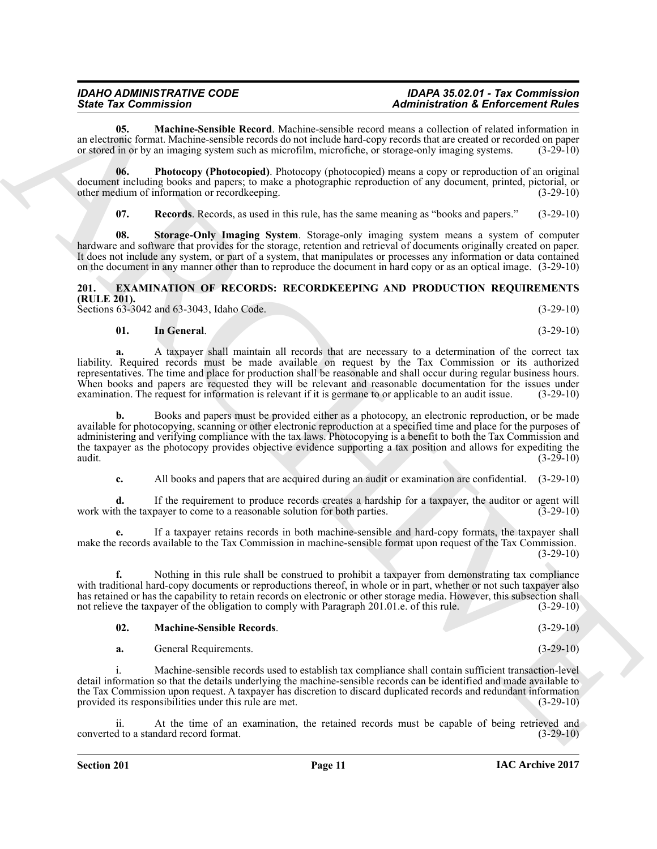<span id="page-10-1"></span>**05. Machine-Sensible Record**. Machine-sensible record means a collection of related information in an electronic format. Machine-sensible records do not include hard-copy records that are created or recorded on paper or stored in or by an imaging system such as microfilm, microfiche, or storage-only imaging systems. (3-29-10)

**06. Photocopy (Photocopied)**. Photocopy (photocopied) means a copy or reproduction of an original document including books and papers; to make a photographic reproduction of any document, printed, pictorial, or other medium of information or recordkeeping. (3-29-10) other medium of information or recordkeeping.

<span id="page-10-4"></span><span id="page-10-3"></span><span id="page-10-2"></span>**07. Records**. Records, as used in this rule, has the same meaning as "books and papers." (3-29-10)

**08. Storage-Only Imaging System**. Storage-only imaging system means a system of computer hardware and software that provides for the storage, retention and retrieval of documents originally created on paper. It does not include any system, or part of a system, that manipulates or processes any information or data contained on the document in any manner other than to reproduce the document in hard copy or as an optical image. (3-29-10)

#### <span id="page-10-5"></span><span id="page-10-0"></span>**201. EXAMINATION OF RECORDS: RECORDKEEPING AND PRODUCTION REQUIREMENTS (RULE 201).** Sections 63-3042 and 63-3043, Idaho Code. (3-29-10)

#### <span id="page-10-6"></span>**01. In General**. (3-29-10)

**a.** A taxpayer shall maintain all records that are necessary to a determination of the correct tax liability. Required records must be made available on request by the Tax Commission or its authorized representatives. The time and place for production shall be reasonable and shall occur during regular business hours. When books and papers are requested they will be relevant and reasonable documentation for the issues under examination. The request for information is relevant if it is germane to or applicable to an audit issue. (3-29-10 examination. The request for information is relevant if it is germane to or applicable to an audit issue.

Since The Commission weak between 3 states and a state interest in the Enforcement Role in the Commission of the Commission of the Commission of the Commission of the Commission of the Commission of the Commission of the **b.** Books and papers must be provided either as a photocopy, an electronic reproduction, or be made available for photocopying, scanning or other electronic reproduction at a specified time and place for the purposes of administering and verifying compliance with the tax laws. Photocopying is a benefit to both the Tax Commission and the taxpayer as the photocopy provides objective evidence supporting a tax position and allows for expediting the audit.  $(3-29-10)$ audit.  $(3-29-10)$ 

**c.** All books and papers that are acquired during an audit or examination are confidential. (3-29-10)

**d.** If the requirement to produce records creates a hardship for a taxpayer, the auditor or agent will the taxpayer to come to a reasonable solution for both parties. (3-29-10) work with the taxpayer to come to a reasonable solution for both parties.

**e.** If a taxpayer retains records in both machine-sensible and hard-copy formats, the taxpayer shall make the records available to the Tax Commission in machine-sensible format upon request of the Tax Commission.  $(3-29-10)$ 

**f.** Nothing in this rule shall be construed to prohibit a taxpayer from demonstrating tax compliance with traditional hard-copy documents or reproductions thereof, in whole or in part, whether or not such taxpayer also has retained or has the capability to retain records on electronic or other storage media. However, this subsection shall not relieve the taxpayer of the obligation to comply with Paragraph 201.01.e. of this rule. (3-29-10)

#### <span id="page-10-7"></span>**02. Machine-Sensible Records**. (3-29-10)

**a.** General Requirements. (3-29-10)

i. Machine-sensible records used to establish tax compliance shall contain sufficient transaction-level detail information so that the details underlying the machine-sensible records can be identified and made available to the Tax Commission upon request. A taxpayer has discretion to discard duplicated records and redundant information provided its responsibilities under this rule are met. (3-29-10) provided its responsibilities under this rule are met.

ii. At the time of an examination, the retained records must be capable of being retrieved and converted to a standard record format. (3-29-10)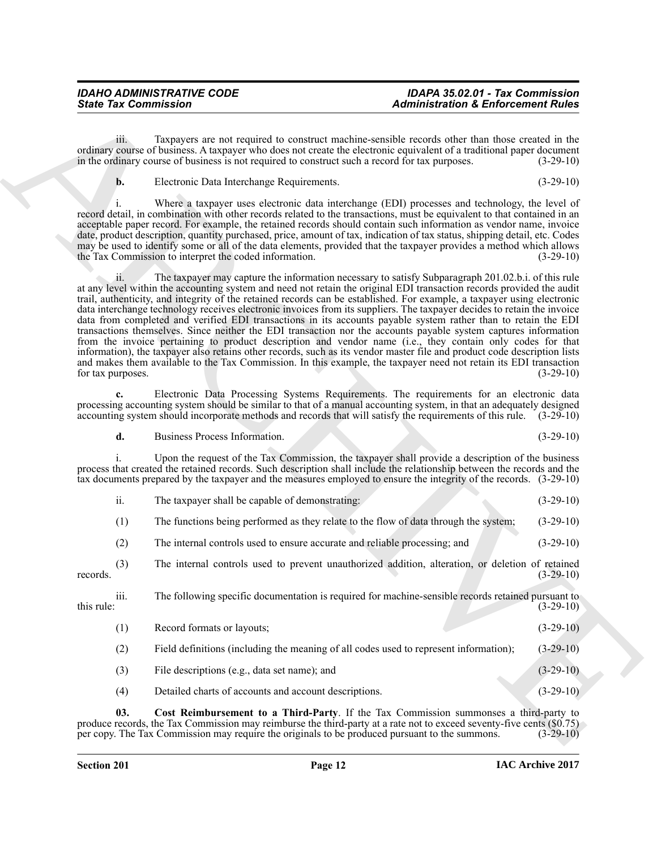iii. Taxpayers are not required to construct machine-sensible records other than those created in the ordinary course of business. A taxpayer who does not create the electronic equivalent of a traditional paper document in the ordinary course of business is not required to construct such a record for tax purposes. (3-29-10)

**b.** Electronic Data Interchange Requirements. (3-29-10)

i. Where a taxpayer uses electronic data interchange (EDI) processes and technology, the level of record detail, in combination with other records related to the transactions, must be equivalent to that contained in an acceptable paper record. For example, the retained records should contain such information as vendor name, invoice date, product description, quantity purchased, price, amount of tax, indication of tax status, shipping detail, etc. Codes may be used to identify some or all of the data elements, provided that the taxpayer provides a method which allows the Tax Commission to interpret the coded information. (3-29-10)

Since Tax Commission 21. Administration & Enforcement Rules<br>
ordinary climate in the state of the company of the state of the state of the state of the state of the state<br>
ordinary climate in the state of the state of the ii. The taxpayer may capture the information necessary to satisfy Subparagraph 201.02.b.i. of this rule at any level within the accounting system and need not retain the original EDI transaction records provided the audit trail, authenticity, and integrity of the retained records can be established. For example, a taxpayer using electronic data interchange technology receives electronic invoices from its suppliers. The taxpayer decides to retain the invoice data from completed and verified EDI transactions in its accounts payable system rather than to retain the EDI transactions themselves. Since neither the EDI transaction nor the accounts payable system captures information from the invoice pertaining to product description and vendor name (i.e., they contain only codes for that information), the taxpayer also retains other records, such as its vendor master file and product code description lists and makes them available to the Tax Commission. In this example, the taxpayer need not retain its EDI transaction for tax purposes. (3-29-10)

**c.** Electronic Data Processing Systems Requirements. The requirements for an electronic data processing accounting system should be similar to that of a manual accounting system, in that an adequately designed accounting system should incorporate methods and records that will satisfy the requirements of this rule. (3-29-10)

**d.** Business Process Information. (3-29-10)

i. Upon the request of the Tax Commission, the taxpayer shall provide a description of the business process that created the retained records. Such description shall include the relationship between the records and the tax documents prepared by the taxpayer and the measures employed to ensure the integrity of the records. (3-29-10)

| The taxpaver shall be capable of demonstrating: |  | $(3-29-10)$ |
|-------------------------------------------------|--|-------------|
|                                                 |  |             |

(1) The functions being performed as they relate to the flow of data through the system; (3-29-10)

(2) The internal controls used to ensure accurate and reliable processing; and (3-29-10)

(3) The internal controls used to prevent unauthorized addition, alteration, or deletion of retained records.  $(3-29-10)$ 

iii. The following specific documentation is required for machine-sensible records retained pursuant to this rule:  $(3-29-10)$ (1) Record formats or layouts; (3-29-10)

- (2) Field definitions (including the meaning of all codes used to represent information); (3-29-10)
- (3) File descriptions (e.g., data set name); and (3-29-10)
- <span id="page-11-0"></span>(4) Detailed charts of accounts and account descriptions. (3-29-10)

**03. Cost Reimbursement to a Third-Party**. If the Tax Commission summonses a third-party to produce records, the Tax Commission may reimburse the third-party at a rate not to exceed seventy-five cents (\$0.75) per copy. The Tax Commission may require the originals to be produced pursuant to the summons. (3-29-10) per copy. The Tax Commission may require the originals to be produced pursuant to the summons.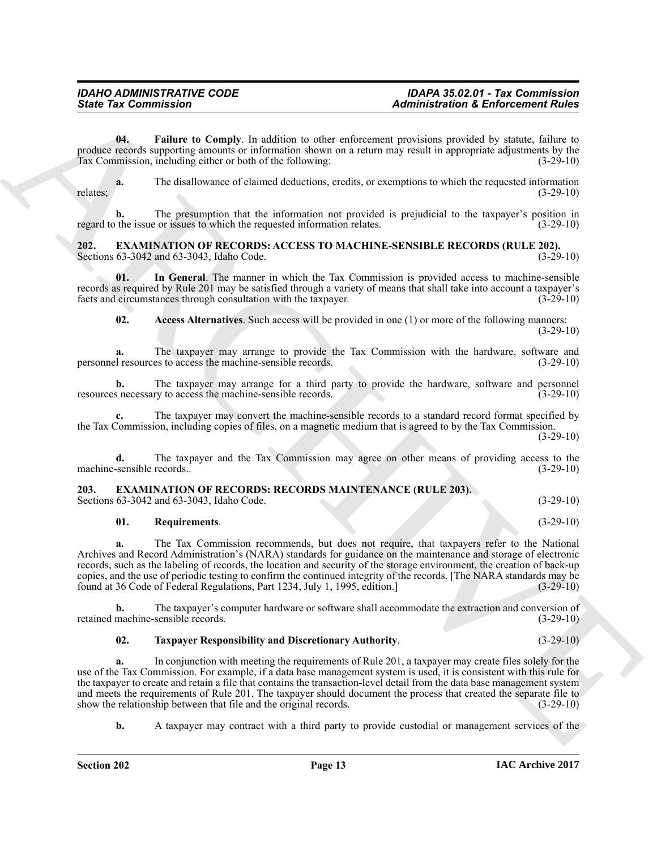<span id="page-12-5"></span>**04. Failure to Comply**. In addition to other enforcement provisions provided by statute, failure to produce records supporting amounts or information shown on a return may result in appropriate adjustments by the<br>Tax Commission, including either or both of the following: (3-29-10) Tax Commission, including either or both of the following:

**a.** The disallowance of claimed deductions, credits, or exemptions to which the requested information (3-29-10) relates; (3-29-10)

**b.** The presumption that the information not provided is prejudicial to the taxpayer's position in regard to the issue or issues to which the requested information relates. (3-29-10)

#### <span id="page-12-2"></span><span id="page-12-0"></span>**202. EXAMINATION OF RECORDS: ACCESS TO MACHINE-SENSIBLE RECORDS (RULE 202).** Sections 63-3042 and 63-3043, Idaho Code.

**01. In General**. The manner in which the Tax Commission is provided access to machine-sensible records as required by Rule 201 may be satisfied through a variety of means that shall take into account a taxpayer's facts and circumstances through consultation with the taxpayer.

<span id="page-12-4"></span><span id="page-12-3"></span>**02. Access Alternatives**. Such access will be provided in one (1) or more of the following manners: (3-29-10)

**a.** The taxpayer may arrange to provide the Tax Commission with the hardware, software and el resources to access the machine-sensible records. (3-29-10) personnel resources to access the machine-sensible records.

**b.** The taxpayer may arrange for a third party to provide the hardware, software and personnel is necessary to access the machine-sensible records. (3-29-10) resources necessary to access the machine-sensible records.

**c.** The taxpayer may convert the machine-sensible records to a standard record format specified by the Tax Commission, including copies of files, on a magnetic medium that is agreed to by the Tax Commission.

(3-29-10)

**d.** The taxpayer and the Tax Commission may agree on other means of providing access to the sensible records.. (3-29-10) machine-sensible records..

### <span id="page-12-6"></span><span id="page-12-1"></span>**203. EXAMINATION OF RECORDS: RECORDS MAINTENANCE (RULE 203).**

Sections 63-3042 and 63-3043, Idaho Code. (3-29-10)

#### <span id="page-12-7"></span>**01. Requirements**. (3-29-10)

**a.** The Tax Commission recommends, but does not require, that taxpayers refer to the National Archives and Record Administration's (NARA) standards for guidance on the maintenance and storage of electronic records, such as the labeling of records, the location and security of the storage environment, the creation of back-up copies, and the use of periodic testing to confirm the continued integrity of the records. [The NARA standards may be found at 36 Code of Federal Regulations, Part 1234, July 1, 1995, edition.] (3-29-10) found at 36 Code of Federal Regulations, Part 1234, July 1, 1995, edition.

**b.** The taxpayer's computer hardware or software shall accommodate the extraction and conversion of machine-sensible records. (3-29-10) retained machine-sensible records.

#### <span id="page-12-8"></span>**02. Taxpayer Responsibility and Discretionary Authority**. (3-29-10)

Since Tax Commission<br>
The Commission Complete and distingention of the contentration of the Commission Commission of the Commission of the Commission of the Commission of the Commission of the Commission of the Commission **a.** In conjunction with meeting the requirements of Rule 201, a taxpayer may create files solely for the use of the Tax Commission. For example, if a data base management system is used, it is consistent with this rule for the taxpayer to create and retain a file that contains the transaction-level detail from the data base management system and meets the requirements of Rule 201. The taxpayer should document the process that created the separate file to show the relationship between that file and the original records. (3-29-10)

**b.** A taxpayer may contract with a third party to provide custodial or management services of the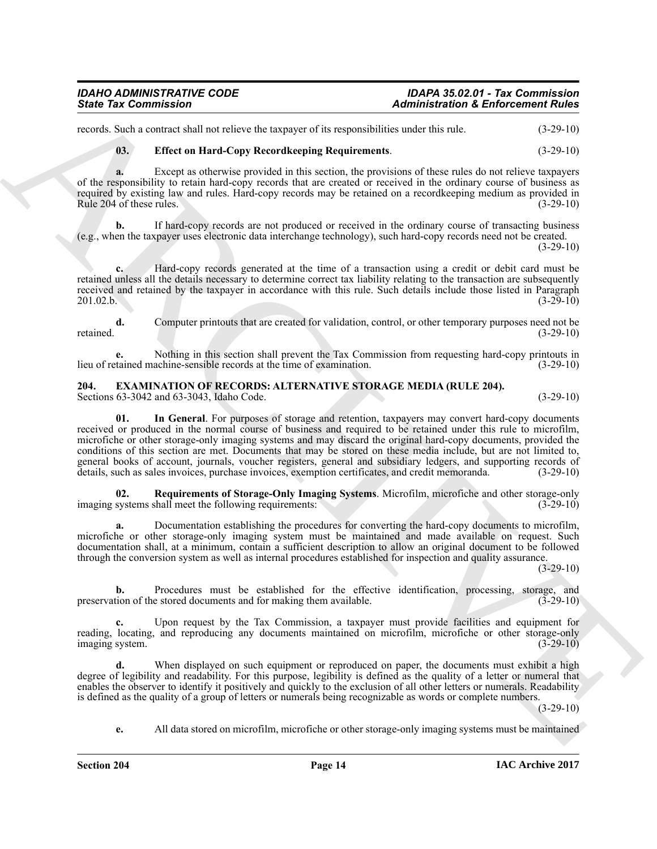records. Such a contract shall not relieve the taxpayer of its responsibilities under this rule. (3-29-10)

### <span id="page-13-4"></span>**03. Effect on Hard-Copy Recordkeeping Requirements**. (3-29-10)

**a.** Except as otherwise provided in this section, the provisions of these rules do not relieve taxpayers of the responsibility to retain hard-copy records that are created or received in the ordinary course of business as required by existing law and rules. Hard-copy records may be retained on a recordkeeping medium as provided in Rule 204 of these rules.  $(3-29-10)$ 

**b.** If hard-copy records are not produced or received in the ordinary course of transacting business (e.g., when the taxpayer uses electronic data interchange technology), such hard-copy records need not be created.

(3-29-10)

**c.** Hard-copy records generated at the time of a transaction using a credit or debit card must be retained unless all the details necessary to determine correct tax liability relating to the transaction are subsequently received and retained by the taxpayer in accordance with this rule. Such details include those listed in Paragraph 201.02.b. (3-29-10)  $201.02.b.$  (3-29-10)

**d.** Computer printouts that are created for validation, control, or other temporary purposes need not be retained. (3-29-10)

**e.** Nothing in this section shall prevent the Tax Commission from requesting hard-copy printouts in tained machine-sensible records at the time of examination. (3-29-10) lieu of retained machine-sensible records at the time of examination.

#### <span id="page-13-2"></span><span id="page-13-1"></span><span id="page-13-0"></span>**204. EXAMINATION OF RECORDS: ALTERNATIVE STORAGE MEDIA (RULE 204).** Sections 63-3042 and 63-3043, Idaho Code. (3-29-10)

Sinte Tax Commission<br>
Sinte Anchorage Commission Anchorage Commission Anchorage Commission Anchorage Commission Anchorage Commission<br>
Sinte The commission and the second state in the second state in the second state in th **01. In General**. For purposes of storage and retention, taxpayers may convert hard-copy documents received or produced in the normal course of business and required to be retained under this rule to microfilm, microfiche or other storage-only imaging systems and may discard the original hard-copy documents, provided the conditions of this section are met. Documents that may be stored on these media include, but are not limited to, general books of account, journals, voucher registers, general and subsidiary ledgers, and supporting records of details, such as sales invoices, purchase invoices, exemption certificates, and credit memoranda. (3-29-10)

<span id="page-13-3"></span>**02. Requirements of Storage-Only Imaging Systems**. Microfilm, microfiche and other storage-only imaging systems shall meet the following requirements: (3-29-10)

**a.** Documentation establishing the procedures for converting the hard-copy documents to microfilm, microfiche or other storage-only imaging system must be maintained and made available on request. Such documentation shall, at a minimum, contain a sufficient description to allow an original document to be followed through the conversion system as well as internal procedures established for inspection and quality assurance.

 $(3-29-10)$ 

**b.** Procedures must be established for the effective identification, processing, storage, and preservation of the stored documents and for making them available. (3-29-10)

**c.** Upon request by the Tax Commission, a taxpayer must provide facilities and equipment for reading, locating, and reproducing any documents maintained on microfilm, microfiche or other storage-only imaging system. (3-29-10)

**d.** When displayed on such equipment or reproduced on paper, the documents must exhibit a high degree of legibility and readability. For this purpose, legibility is defined as the quality of a letter or numeral that enables the observer to identify it positively and quickly to the exclusion of all other letters or numerals. Readability is defined as the quality of a group of letters or numerals being recognizable as words or complete numbers.

 $(3-29-10)$ 

**e.** All data stored on microfilm, microfiche or other storage-only imaging systems must be maintained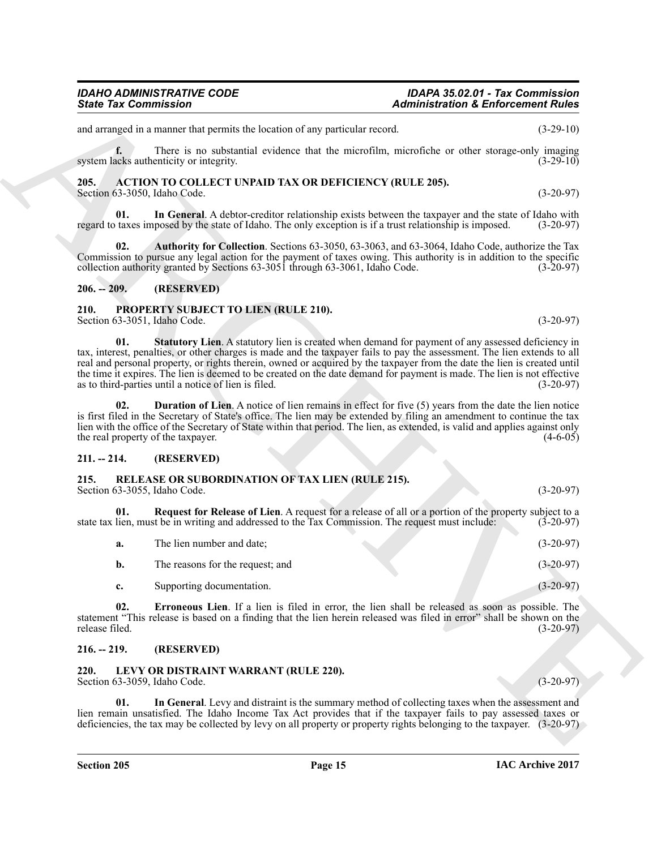## *IDAHO ADMINISTRATIVE CODE IDAPA 35.02.01 - Tax Commission*

and arranged in a manner that permits the location of any particular record. (3-29-10)

**f.** There is no substantial evidence that the microfilm, microfiche or other storage-only imaging acks authenticity or integrity. (3-29-10) system lacks authenticity or integrity.

#### <span id="page-14-7"></span><span id="page-14-0"></span>**205. ACTION TO COLLECT UNPAID TAX OR DEFICIENCY (RULE 205).** Section 63-3050, Idaho Code. (3-20-97)

<span id="page-14-9"></span>**01. In General**. A debtor-creditor relationship exists between the taxpayer and the state of Idaho with regard to taxes imposed by the state of Idaho. The only exception is if a trust relationship is imposed. (3-20-97)

<span id="page-14-8"></span>**02. Authority for Collection**. Sections 63-3050, 63-3063, and 63-3064, Idaho Code, authorize the Tax Commission to pursue any legal action for the payment of taxes owing. This authority is in addition to the specific collection authority granted by Sections 63-3051 through 63-3061, Idaho Code. (3-20-97)

#### <span id="page-14-1"></span>**206. -- 209. (RESERVED)**

#### <span id="page-14-14"></span><span id="page-14-12"></span><span id="page-14-2"></span>**210. PROPERTY SUBJECT TO LIEN (RULE 210).** Section 63-3051, Idaho Code. (3-20-97)

Since Tax Commission<br>
and a summer last be two more our particular count of the animal space of the control of the control of the control of the control of the control of the control of the control of the control of the c **01.** Statutory Lien. A statutory lien is created when demand for payment of any assessed deficiency in tax, interest, penalties, or other charges is made and the taxpayer fails to pay the assessment. The lien extends to all real and personal property, or rights therein, owned or acquired by the taxpayer from the date the lien is created until the time it expires. The lien is deemed to be created on the date demand for payment is made. The lien is not effective as to third-parties until a notice of lien is filed. (3-20-97)

<span id="page-14-13"></span>**Duration of Lien.** A notice of lien remains in effect for five (5) years from the date the lien notice is first filed in the Secretary of State's office. The lien may be extended by filing an amendment to continue the tax lien with the office of the Secretary of State within that period. The lien, as extended, is valid and applies against only the real property of the taxpayer. (4-6-05)

#### <span id="page-14-3"></span>**211. -- 214. (RESERVED)**

<span id="page-14-15"></span><span id="page-14-4"></span>

| 215. | <b>RELEASE OR SUBORDINATION OF TAX LIEN (RULE 215).</b> |  |             |
|------|---------------------------------------------------------|--|-------------|
|      | Section 63-3055, Idaho Code.                            |  | $(3-20-97)$ |

**01. Request for Release of Lien**. A request for a release of all or a portion of the property subject to a state tax lien, must be in writing and addressed to the Tax Commission. The request must include: (3-20-97)

<span id="page-14-17"></span><span id="page-14-16"></span>

| The lien number and date;        | $(3-20-97)$ |
|----------------------------------|-------------|
| The reasons for the request; and | $(3-20-97)$ |
| Supporting documentation.        | $(3-20-97)$ |

**02. Erroneous Lien**. If a lien is filed in error, the lien shall be released as soon as possible. The statement "This release is based on a finding that the lien herein released was filed in error" shall be shown on the release filed. (3-20-97) release filed. (3-20-97)

#### <span id="page-14-5"></span>**216. -- 219. (RESERVED)**

#### <span id="page-14-10"></span><span id="page-14-6"></span>**220. LEVY OR DISTRAINT WARRANT (RULE 220).** Section 63-3059, Idaho Code. (3-20-97)

<span id="page-14-11"></span>**01. In General**. Levy and distraint is the summary method of collecting taxes when the assessment and lien remain unsatisfied. The Idaho Income Tax Act provides that if the taxpayer fails to pay assessed taxes or deficiencies, the tax may be collected by levy on all property or property rights belonging to the taxpayer. (3-20-97)

*State Tax Commission Administration & Enforcement Rules*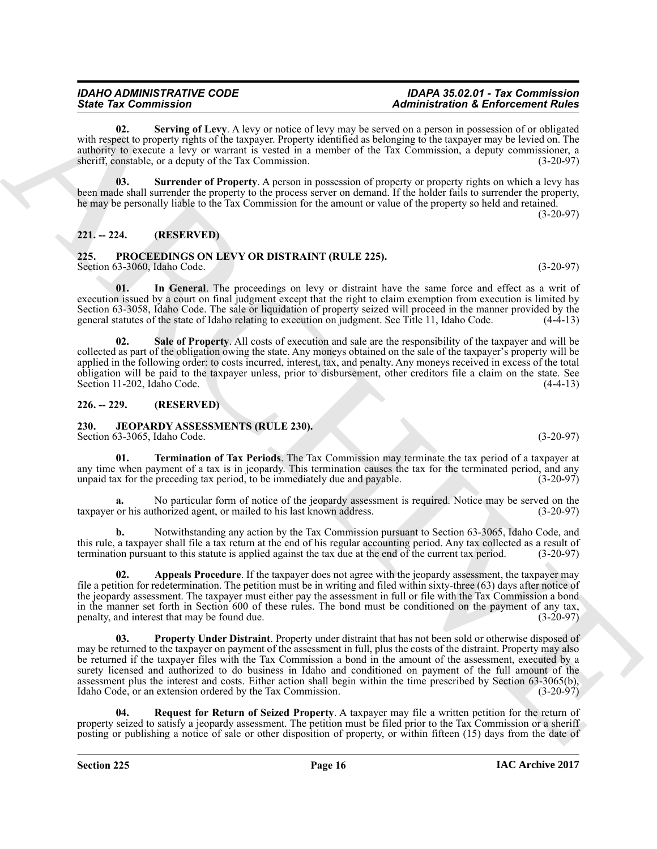<span id="page-15-9"></span>**02. Serving of Levy**. A levy or notice of levy may be served on a person in possession of or obligated with respect to property rights of the taxpayer. Property identified as belonging to the taxpayer may be levied on. The authority to execute a levy or warrant is vested in a member of the Tax Commission, a deputy commissioner, a sheriff, constable, or a deputy of the Tax Commission. (3-20-97)

<span id="page-15-10"></span>**03. Surrender of Property**. A person in possession of property or property rights on which a levy has been made shall surrender the property to the process server on demand. If the holder fails to surrender the property, he may be personally liable to the Tax Commission for the amount or value of the property so held and retained.

(3-20-97)

### <span id="page-15-0"></span>**221. -- 224. (RESERVED)**

#### <span id="page-15-11"></span><span id="page-15-1"></span>**225. PROCEEDINGS ON LEVY OR DISTRAINT (RULE 225).** Section 63-3060, Idaho Code. (3-20-97)

<span id="page-15-12"></span>**01. In General**. The proceedings on levy or distraint have the same force and effect as a writ of execution issued by a court on final judgment except that the right to claim exemption from execution is limited by Section 63-3058, Idaho Code. The sale or liquidation of property seized will proceed in the manner provided by the general statutes of the state of Idaho relating to execution on judgment. See Title 11, Idaho Code. (4-4-13)

<span id="page-15-13"></span>**02. Sale of Property**. All costs of execution and sale are the responsibility of the taxpayer and will be collected as part of the obligation owing the state. Any moneys obtained on the sale of the taxpayer's property will be applied in the following order: to costs incurred, interest, tax, and penalty. Any moneys received in excess of the total obligation will be paid to the taxpayer unless, prior to disbursement, other creditors file a claim on the state. See Section 11-202, Idaho Code. (4-4-13)

#### <span id="page-15-2"></span>**226. -- 229. (RESERVED)**

#### <span id="page-15-4"></span><span id="page-15-3"></span>**230. JEOPARDY ASSESSMENTS (RULE 230).**

Section 63-3065, Idaho Code. (3-20-97)

<span id="page-15-8"></span>**01. Termination of Tax Periods**. The Tax Commission may terminate the tax period of a taxpayer at any time when payment of a tax is in jeopardy. This termination causes the tax for the terminated period, and any unpaid tax for the preceding tax period, to be immediately due and payable.  $(3-20-97)$ unpaid tax for the preceding tax period, to be immediately due and payable.

**a.** No particular form of notice of the jeopardy assessment is required. Notice may be served on the taxpayer or his authorized agent, or mailed to his last known address. (3-20-97)

**b.** Notwithstanding any action by the Tax Commission pursuant to Section 63-3065, Idaho Code, and this rule, a taxpayer shall file a tax return at the end of his regular accounting period. Any tax collected as a result of termination pursuant to this statute is applied against the tax due at the end of the current tax period. (3-20-97)

<span id="page-15-6"></span><span id="page-15-5"></span>**Appeals Procedure**. If the taxpayer does not agree with the jeopardy assessment, the taxpayer may file a petition for redetermination. The petition must be in writing and filed within sixty-three (63) days after notice of the jeopardy assessment. The taxpayer must either pay the assessment in full or file with the Tax Commission a bond in the manner set forth in Section 600 of these rules. The bond must be conditioned on the payment of any tax, penalty, and interest that may be found due. (3-20-97) penalty, and interest that may be found due.

Since The Commission CI and A have at major control the material method in Enforcement Folio and the Commission of the Commission of the Commission of the Commission of the Commission CI and Commission CI and Commission C **03. Property Under Distraint**. Property under distraint that has not been sold or otherwise disposed of may be returned to the taxpayer on payment of the assessment in full, plus the costs of the distraint. Property may also be returned if the taxpayer files with the Tax Commission a bond in the amount of the assessment, executed by a surety licensed and authorized to do business in Idaho and conditioned on payment of the full amount of the assessment plus the interest and costs. Either action shall begin within the time prescribed by Section 63-3065(b), Idaho Code, or an extension ordered by the Tax Commission. (3-20-97)

<span id="page-15-7"></span>**04. Request for Return of Seized Property**. A taxpayer may file a written petition for the return of property seized to satisfy a jeopardy assessment. The petition must be filed prior to the Tax Commission or a sheriff posting or publishing a notice of sale or other disposition of property, or within fifteen (15) days from the date of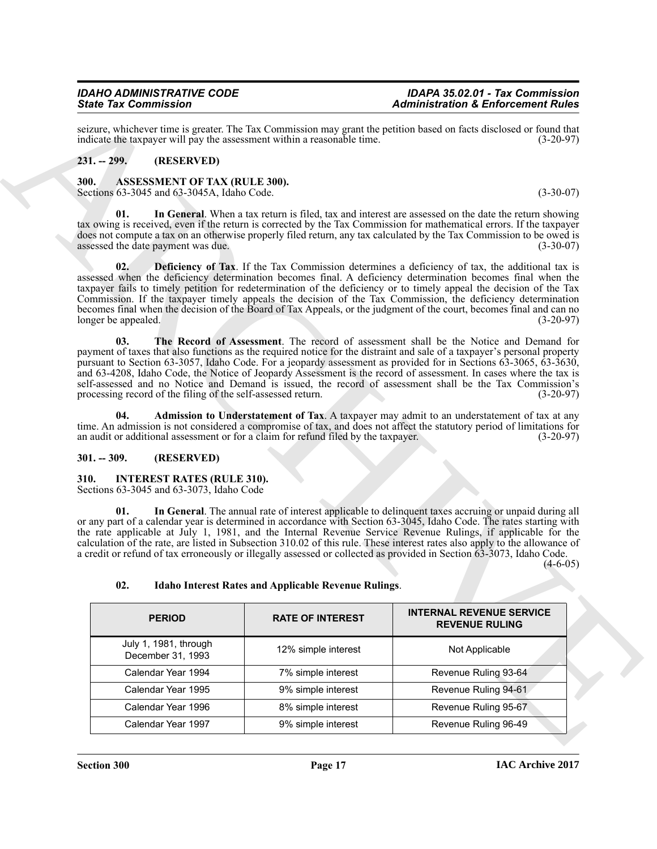### <span id="page-16-0"></span>**231. -- 299. (RESERVED)**

### <span id="page-16-7"></span><span id="page-16-6"></span><span id="page-16-4"></span><span id="page-16-1"></span>**300. ASSESSMENT OF TAX (RULE 300).**

### <span id="page-16-8"></span><span id="page-16-5"></span><span id="page-16-2"></span>**301. -- 309. (RESERVED)**

### <span id="page-16-11"></span><span id="page-16-9"></span><span id="page-16-3"></span>**310. INTEREST RATES (RULE 310).**

|                                                                                                                                                                                                                                                                                                                                                                                                                                                                                                                                                                                                                                                                                                                                                                                                                                                                                                                                                                                                                                                                                                                                                                                                                                                                                                                                                                                                                                                                                                                                                                                                                                                                                                                                                                                                                                                                                                                                                                                              |                                            |                                                             | <b>Administration &amp; Enforcement Rules</b>                                                                                                                                                                                                                                                                                                                                                                                                                                                                                                                                                                    |
|----------------------------------------------------------------------------------------------------------------------------------------------------------------------------------------------------------------------------------------------------------------------------------------------------------------------------------------------------------------------------------------------------------------------------------------------------------------------------------------------------------------------------------------------------------------------------------------------------------------------------------------------------------------------------------------------------------------------------------------------------------------------------------------------------------------------------------------------------------------------------------------------------------------------------------------------------------------------------------------------------------------------------------------------------------------------------------------------------------------------------------------------------------------------------------------------------------------------------------------------------------------------------------------------------------------------------------------------------------------------------------------------------------------------------------------------------------------------------------------------------------------------------------------------------------------------------------------------------------------------------------------------------------------------------------------------------------------------------------------------------------------------------------------------------------------------------------------------------------------------------------------------------------------------------------------------------------------------------------------------|--------------------------------------------|-------------------------------------------------------------|------------------------------------------------------------------------------------------------------------------------------------------------------------------------------------------------------------------------------------------------------------------------------------------------------------------------------------------------------------------------------------------------------------------------------------------------------------------------------------------------------------------------------------------------------------------------------------------------------------------|
|                                                                                                                                                                                                                                                                                                                                                                                                                                                                                                                                                                                                                                                                                                                                                                                                                                                                                                                                                                                                                                                                                                                                                                                                                                                                                                                                                                                                                                                                                                                                                                                                                                                                                                                                                                                                                                                                                                                                                                                              |                                            |                                                             | $(3-20-97)$                                                                                                                                                                                                                                                                                                                                                                                                                                                                                                                                                                                                      |
| $231. - 299.$                                                                                                                                                                                                                                                                                                                                                                                                                                                                                                                                                                                                                                                                                                                                                                                                                                                                                                                                                                                                                                                                                                                                                                                                                                                                                                                                                                                                                                                                                                                                                                                                                                                                                                                                                                                                                                                                                                                                                                                | (RESERVED)                                 |                                                             |                                                                                                                                                                                                                                                                                                                                                                                                                                                                                                                                                                                                                  |
| <b>State Tax Commission</b><br>seizure, whichever time is greater. The Tax Commission may grant the petition based on facts disclosed or found that<br>indicate the taxpayer will pay the assessment within a reasonable time.<br>300.<br><b>ASSESSMENT OF TAX (RULE 300).</b><br>Sections 63-3045 and 63-3045A, Idaho Code.<br>01.<br>tax owing is received, even if the return is corrected by the Tax Commission for mathematical errors. If the taxpayer<br>does not compute a tax on an otherwise properly filed return, any tax calculated by the Tax Commission to be owed is<br>assessed the date payment was due.<br>02.<br>assessed when the deficiency determination becomes final. A deficiency determination becomes final when the<br>taxpayer fails to timely petition for redetermination of the deficiency or to timely appeal the decision of the Tax<br>Commission. If the taxpayer timely appeals the decision of the Tax Commission, the deficiency determination<br>becomes final when the decision of the Board of Tax Appeals, or the judgment of the court, becomes final and can no<br>longer be appealed.<br>03.<br>payment of taxes that also functions as the required notice for the distraint and sale of a taxpayer's personal property<br>pursuant to Section 63-3057, Idaho Code. For a jeopardy assessment as provided for in Sections $63-3065$ , $63-3630$ ,<br>and 63-4208, Idaho Code, the Notice of Jeopardy Assessment is the record of assessment. In cases where the tax is<br>self-assessed and no Notice and Demand is issued, the record of assessment shall be the Tax Commission's<br>processing record of the filing of the self-assessed return.<br>04.<br>time. An admission is not considered a compromise of tax, and does not affect the statutory period of limitations for<br>an audit or additional assessment or for a claim for refund filed by the taxpayer.<br>$301. - 309.$<br>(RESERVED)<br><b>INTEREST RATES (RULE 310).</b> |                                            |                                                             | $(3-30-07)$                                                                                                                                                                                                                                                                                                                                                                                                                                                                                                                                                                                                      |
|                                                                                                                                                                                                                                                                                                                                                                                                                                                                                                                                                                                                                                                                                                                                                                                                                                                                                                                                                                                                                                                                                                                                                                                                                                                                                                                                                                                                                                                                                                                                                                                                                                                                                                                                                                                                                                                                                                                                                                                              |                                            |                                                             | In General. When a tax return is filed, tax and interest are assessed on the date the return showing<br>$(3-30-07)$                                                                                                                                                                                                                                                                                                                                                                                                                                                                                              |
|                                                                                                                                                                                                                                                                                                                                                                                                                                                                                                                                                                                                                                                                                                                                                                                                                                                                                                                                                                                                                                                                                                                                                                                                                                                                                                                                                                                                                                                                                                                                                                                                                                                                                                                                                                                                                                                                                                                                                                                              |                                            |                                                             | <b>Deficiency of Tax.</b> If the Tax Commission determines a deficiency of tax, the additional tax is<br>$(3-20-97)$                                                                                                                                                                                                                                                                                                                                                                                                                                                                                             |
|                                                                                                                                                                                                                                                                                                                                                                                                                                                                                                                                                                                                                                                                                                                                                                                                                                                                                                                                                                                                                                                                                                                                                                                                                                                                                                                                                                                                                                                                                                                                                                                                                                                                                                                                                                                                                                                                                                                                                                                              |                                            |                                                             | The Record of Assessment. The record of assessment shall be the Notice and Demand for<br>$(3-20-97)$                                                                                                                                                                                                                                                                                                                                                                                                                                                                                                             |
|                                                                                                                                                                                                                                                                                                                                                                                                                                                                                                                                                                                                                                                                                                                                                                                                                                                                                                                                                                                                                                                                                                                                                                                                                                                                                                                                                                                                                                                                                                                                                                                                                                                                                                                                                                                                                                                                                                                                                                                              |                                            |                                                             | Admission to Understatement of Tax. A taxpayer may admit to an understatement of tax at any<br>$(3-20-97)$                                                                                                                                                                                                                                                                                                                                                                                                                                                                                                       |
|                                                                                                                                                                                                                                                                                                                                                                                                                                                                                                                                                                                                                                                                                                                                                                                                                                                                                                                                                                                                                                                                                                                                                                                                                                                                                                                                                                                                                                                                                                                                                                                                                                                                                                                                                                                                                                                                                                                                                                                              |                                            |                                                             |                                                                                                                                                                                                                                                                                                                                                                                                                                                                                                                                                                                                                  |
| 310.                                                                                                                                                                                                                                                                                                                                                                                                                                                                                                                                                                                                                                                                                                                                                                                                                                                                                                                                                                                                                                                                                                                                                                                                                                                                                                                                                                                                                                                                                                                                                                                                                                                                                                                                                                                                                                                                                                                                                                                         | Sections 63-3045 and 63-3073, Idaho Code   |                                                             |                                                                                                                                                                                                                                                                                                                                                                                                                                                                                                                                                                                                                  |
| 01.<br>02.                                                                                                                                                                                                                                                                                                                                                                                                                                                                                                                                                                                                                                                                                                                                                                                                                                                                                                                                                                                                                                                                                                                                                                                                                                                                                                                                                                                                                                                                                                                                                                                                                                                                                                                                                                                                                                                                                                                                                                                   |                                            | <b>Idaho Interest Rates and Applicable Revenue Rulings.</b> | In General. The annual rate of interest applicable to delinquent taxes accruing or unpaid during all<br>or any part of a calendar year is determined in accordance with Section 63-3045, Idaho Code. The rates starting with<br>the rate applicable at July 1, 1981, and the Internal Revenue Service Revenue Rulings, if applicable for the<br>calculation of the rate, are listed in Subsection 310.02 of this rule. These interest rates also apply to the allowance of<br>a credit or refund of tax erroneously or illegally assessed or collected as provided in Section 63-3073, Idaho Code.<br>$(4-6-05)$ |
|                                                                                                                                                                                                                                                                                                                                                                                                                                                                                                                                                                                                                                                                                                                                                                                                                                                                                                                                                                                                                                                                                                                                                                                                                                                                                                                                                                                                                                                                                                                                                                                                                                                                                                                                                                                                                                                                                                                                                                                              | <b>PERIOD</b>                              | <b>RATE OF INTEREST</b>                                     | <b>INTERNAL REVENUE SERVICE</b><br><b>REVENUE RULING</b>                                                                                                                                                                                                                                                                                                                                                                                                                                                                                                                                                         |
|                                                                                                                                                                                                                                                                                                                                                                                                                                                                                                                                                                                                                                                                                                                                                                                                                                                                                                                                                                                                                                                                                                                                                                                                                                                                                                                                                                                                                                                                                                                                                                                                                                                                                                                                                                                                                                                                                                                                                                                              | July 1, 1981, through<br>December 31, 1993 | 12% simple interest                                         | Not Applicable                                                                                                                                                                                                                                                                                                                                                                                                                                                                                                                                                                                                   |
|                                                                                                                                                                                                                                                                                                                                                                                                                                                                                                                                                                                                                                                                                                                                                                                                                                                                                                                                                                                                                                                                                                                                                                                                                                                                                                                                                                                                                                                                                                                                                                                                                                                                                                                                                                                                                                                                                                                                                                                              |                                            | 7% simple interest                                          | Revenue Ruling 93-64                                                                                                                                                                                                                                                                                                                                                                                                                                                                                                                                                                                             |
|                                                                                                                                                                                                                                                                                                                                                                                                                                                                                                                                                                                                                                                                                                                                                                                                                                                                                                                                                                                                                                                                                                                                                                                                                                                                                                                                                                                                                                                                                                                                                                                                                                                                                                                                                                                                                                                                                                                                                                                              | Calendar Year 1994                         |                                                             |                                                                                                                                                                                                                                                                                                                                                                                                                                                                                                                                                                                                                  |
|                                                                                                                                                                                                                                                                                                                                                                                                                                                                                                                                                                                                                                                                                                                                                                                                                                                                                                                                                                                                                                                                                                                                                                                                                                                                                                                                                                                                                                                                                                                                                                                                                                                                                                                                                                                                                                                                                                                                                                                              | Calendar Year 1995                         | 9% simple interest                                          | Revenue Ruling 94-61                                                                                                                                                                                                                                                                                                                                                                                                                                                                                                                                                                                             |
|                                                                                                                                                                                                                                                                                                                                                                                                                                                                                                                                                                                                                                                                                                                                                                                                                                                                                                                                                                                                                                                                                                                                                                                                                                                                                                                                                                                                                                                                                                                                                                                                                                                                                                                                                                                                                                                                                                                                                                                              | Calendar Year 1996                         | 8% simple interest                                          | Revenue Ruling 95-67                                                                                                                                                                                                                                                                                                                                                                                                                                                                                                                                                                                             |

### <span id="page-16-10"></span>**02. Idaho Interest Rates and Applicable Revenue Rulings**.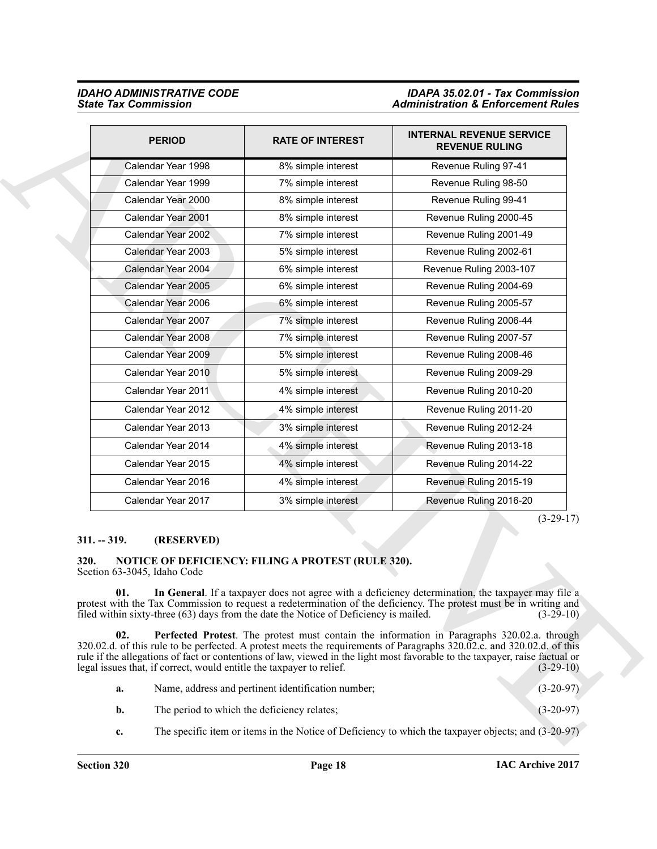|                                                      | <b>PERIOD</b>                               | <b>RATE OF INTEREST</b>                                                                                                    | <b>INTERNAL REVENUE SERVICE</b><br><b>REVENUE RULING</b>                                                                                                                                                                                                                                                                                                                                                                                                                                                                                                                                       |
|------------------------------------------------------|---------------------------------------------|----------------------------------------------------------------------------------------------------------------------------|------------------------------------------------------------------------------------------------------------------------------------------------------------------------------------------------------------------------------------------------------------------------------------------------------------------------------------------------------------------------------------------------------------------------------------------------------------------------------------------------------------------------------------------------------------------------------------------------|
|                                                      | Calendar Year 1998                          | 8% simple interest                                                                                                         | Revenue Ruling 97-41                                                                                                                                                                                                                                                                                                                                                                                                                                                                                                                                                                           |
|                                                      | Calendar Year 1999                          | 7% simple interest                                                                                                         | Revenue Ruling 98-50                                                                                                                                                                                                                                                                                                                                                                                                                                                                                                                                                                           |
|                                                      | Calendar Year 2000                          | 8% simple interest                                                                                                         | Revenue Ruling 99-41                                                                                                                                                                                                                                                                                                                                                                                                                                                                                                                                                                           |
|                                                      | Calendar Year 2001                          | 8% simple interest                                                                                                         | Revenue Ruling 2000-45                                                                                                                                                                                                                                                                                                                                                                                                                                                                                                                                                                         |
|                                                      | Calendar Year 2002                          | 7% simple interest                                                                                                         | Revenue Ruling 2001-49                                                                                                                                                                                                                                                                                                                                                                                                                                                                                                                                                                         |
|                                                      | Calendar Year 2003                          | 5% simple interest                                                                                                         | Revenue Ruling 2002-61                                                                                                                                                                                                                                                                                                                                                                                                                                                                                                                                                                         |
|                                                      | Calendar Year 2004                          | 6% simple interest                                                                                                         | Revenue Ruling 2003-107                                                                                                                                                                                                                                                                                                                                                                                                                                                                                                                                                                        |
|                                                      | Calendar Year 2005                          | 6% simple interest                                                                                                         | Revenue Ruling 2004-69                                                                                                                                                                                                                                                                                                                                                                                                                                                                                                                                                                         |
|                                                      | Calendar Year 2006                          | 6% simple interest                                                                                                         | Revenue Ruling 2005-57                                                                                                                                                                                                                                                                                                                                                                                                                                                                                                                                                                         |
|                                                      | Calendar Year 2007                          | 7% simple interest                                                                                                         | Revenue Ruling 2006-44                                                                                                                                                                                                                                                                                                                                                                                                                                                                                                                                                                         |
|                                                      | Calendar Year 2008                          | 7% simple interest                                                                                                         | Revenue Ruling 2007-57                                                                                                                                                                                                                                                                                                                                                                                                                                                                                                                                                                         |
|                                                      | Calendar Year 2009                          | 5% simple interest                                                                                                         | Revenue Ruling 2008-46                                                                                                                                                                                                                                                                                                                                                                                                                                                                                                                                                                         |
|                                                      | Calendar Year 2010                          | 5% simple interest                                                                                                         | Revenue Ruling 2009-29                                                                                                                                                                                                                                                                                                                                                                                                                                                                                                                                                                         |
|                                                      | Calendar Year 2011                          | 4% simple interest                                                                                                         | Revenue Ruling 2010-20                                                                                                                                                                                                                                                                                                                                                                                                                                                                                                                                                                         |
|                                                      | Calendar Year 2012                          | 4% simple interest                                                                                                         | Revenue Ruling 2011-20                                                                                                                                                                                                                                                                                                                                                                                                                                                                                                                                                                         |
|                                                      | Calendar Year 2013                          | 3% simple interest                                                                                                         | Revenue Ruling 2012-24                                                                                                                                                                                                                                                                                                                                                                                                                                                                                                                                                                         |
|                                                      | Calendar Year 2014                          | 4% simple interest                                                                                                         | Revenue Ruling 2013-18                                                                                                                                                                                                                                                                                                                                                                                                                                                                                                                                                                         |
|                                                      | Calendar Year 2015                          | 4% simple interest                                                                                                         | Revenue Ruling 2014-22                                                                                                                                                                                                                                                                                                                                                                                                                                                                                                                                                                         |
|                                                      | Calendar Year 2016                          | 4% simple interest                                                                                                         | Revenue Ruling 2015-19                                                                                                                                                                                                                                                                                                                                                                                                                                                                                                                                                                         |
|                                                      | Calendar Year 2017                          | 3% simple interest                                                                                                         | Revenue Ruling 2016-20                                                                                                                                                                                                                                                                                                                                                                                                                                                                                                                                                                         |
| $311. - 319.$<br>320.<br>Section 63-3045, Idaho Code | (RESERVED)                                  | NOTICE OF DEFICIENCY: FILING A PROTEST (RULE 320).                                                                         | $(3-29-17)$                                                                                                                                                                                                                                                                                                                                                                                                                                                                                                                                                                                    |
| 01.<br>02.                                           |                                             | filed within sixty-three (63) days from the date the Notice of Deficiency is mailed.                                       | In General. If a taxpayer does not agree with a deficiency determination, the taxpayer may file a<br>protest with the Tax Commission to request a redetermination of the deficiency. The protest must be in writing and<br>$(3-29-10)$<br>Perfected Protest. The protest must contain the information in Paragraphs 320.02.a. through<br>320.02.d. of this rule to be perfected. A protest meets the requirements of Paragraphs 320.02.c. and 320.02.d. of this<br>rule if the allegations of fact or contentions of law, viewed in the light most favorable to the taxpayer, raise factual or |
| a.                                                   |                                             | legal issues that, if correct, would entitle the taxpayer to relief.<br>Name, address and pertinent identification number; | $(3-29-10)$<br>$(3-20-97)$                                                                                                                                                                                                                                                                                                                                                                                                                                                                                                                                                                     |
|                                                      |                                             |                                                                                                                            |                                                                                                                                                                                                                                                                                                                                                                                                                                                                                                                                                                                                |
| b.                                                   | The period to which the deficiency relates; |                                                                                                                            | $(3-20-97)$                                                                                                                                                                                                                                                                                                                                                                                                                                                                                                                                                                                    |

#### <span id="page-17-0"></span>**311. -- 319. (RESERVED)**

#### <span id="page-17-3"></span><span id="page-17-2"></span><span id="page-17-1"></span>**320. NOTICE OF DEFICIENCY: FILING A PROTEST (RULE 320).** Section 63-3045, Idaho Code

<span id="page-17-4"></span>

| a. | Name, address and pertinent identification number; | $(3-20-97)$ |
|----|----------------------------------------------------|-------------|
|    | The period to which the deficiency relates;        | $(3-20-97)$ |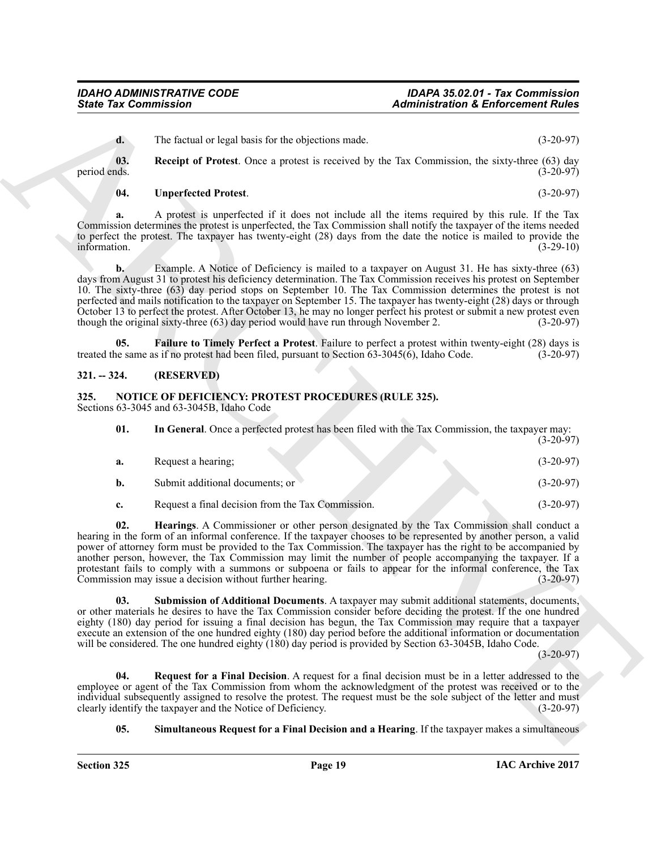<span id="page-18-7"></span>

| 01.          |                    |  |  | In General. Once a perfected protest has been filed with the Tax Commission, the taxpayer may: |
|--------------|--------------------|--|--|------------------------------------------------------------------------------------------------|
|              |                    |  |  | $(3-20-97)$                                                                                    |
| $\mathbf{a}$ | Request a hearing: |  |  | $(3-20-97)$                                                                                    |

| a. | RUGUUST A HUALING.              |  | $13 - 20 - 711$ |
|----|---------------------------------|--|-----------------|
| b. | Submit additional documents: or |  | $(3-20-97)$     |
|    |                                 |  |                 |

**c.** Request a final decision from the Tax Commission. (3-20-97)

Sinte Tax Commission<br>
1. The Geology of Protect de New Society and mate.<br>
The Geology of Protect de Treats between the convenience of the Commission, the single and the Commission (3.2019)<br>
1. Receive of Protect Once a pr **02. Hearings**. A Commissioner or other person designated by the Tax Commission shall conduct a hearing in the form of an informal conference. If the taxpayer chooses to be represented by another person, a valid power of attorney form must be provided to the Tax Commission. The taxpayer has the right to be accompanied by another person, however, the Tax Commission may limit the number of people accompanying the taxpayer. If a protestant fails to comply with a summons or subpoena or fails to appear for the informal conference, the Tax Commission may issue a decision without further hearing. (3-20-97)

<span id="page-18-10"></span>**03. Submission of Additional Documents**. A taxpayer may submit additional statements, documents, or other materials he desires to have the Tax Commission consider before deciding the protest. If the one hundred eighty (180) day period for issuing a final decision has begun, the Tax Commission may require that a taxpayer execute an extension of the one hundred eighty (180) day period before the additional information or documentation will be considered. The one hundred eighty (180) day period is provided by Section 63-3045B, Idaho Code.

 $(3-20-97)$ 

**04. Request for a Final Decision**. A request for a final decision must be in a letter addressed to the employee or agent of the Tax Commission from whom the acknowledgment of the protest was received or to the individual subsequently assigned to resolve the protest. The request must be the sole subject of the letter and must clearly identify the taxpayer and the Notice of Deficiency. (3-20-97) clearly identify the taxpayer and the Notice of Deficiency.

#### <span id="page-18-9"></span><span id="page-18-8"></span>**05. Simultaneous Request for a Final Decision and a Hearing**. If the taxpayer makes a simultaneous

**03.** Receipt of Protest. Once a protest is received by the Tax Commission, the sixty-three (63) day period ends. (3-20-97) period ends.  $(3-20-97)$ 

### <span id="page-18-4"></span>**04. Unperfected Protest**. (3-20-97)

**a.** A protest is unperfected if it does not include all the items required by this rule. If the Tax Commission determines the protest is unperfected, the Tax Commission shall notify the taxpayer of the items needed to perfect the protest. The taxpayer has twenty-eight (28) days from the date the notice is mailed to provide the information. (3-29-10)

<span id="page-18-3"></span>**d.** The factual or legal basis for the objections made. (3-20-97)

**b.** Example. A Notice of Deficiency is mailed to a taxpayer on August 31. He has sixty-three (63) days from August 31 to protest his deficiency determination. The Tax Commission receives his protest on September 10. The sixty-three (63) day period stops on September 10. The Tax Commission determines the protest is not perfected and mails notification to the taxpayer on September 15. The taxpayer has twenty-eight (28) days or through October 13 to perfect the protest. After October 13, he may no longer perfect his protest or submit a new protest even though the original sixty-three (63) day period would have run through November 2. (3-20-97)

<span id="page-18-2"></span>**05. Failure to Timely Perfect a Protest**. Failure to perfect a protest within twenty-eight (28) days is ne same as if no protest had been filed, pursuant to Section 63-3045(6), Idaho Code. (3-20-97) treated the same as if no protest had been filed, pursuant to Section  $63-3045(\hat{6})$ , Idaho Code.

#### <span id="page-18-0"></span>**321. -- 324. (RESERVED)**

### <span id="page-18-5"></span><span id="page-18-1"></span>**325. NOTICE OF DEFICIENCY: PROTEST PROCEDURES (RULE 325).**

Sections 63-3045 and 63-3045B, Idaho Code

- **a.** Request a hearing; (3-20-97)
- <span id="page-18-6"></span>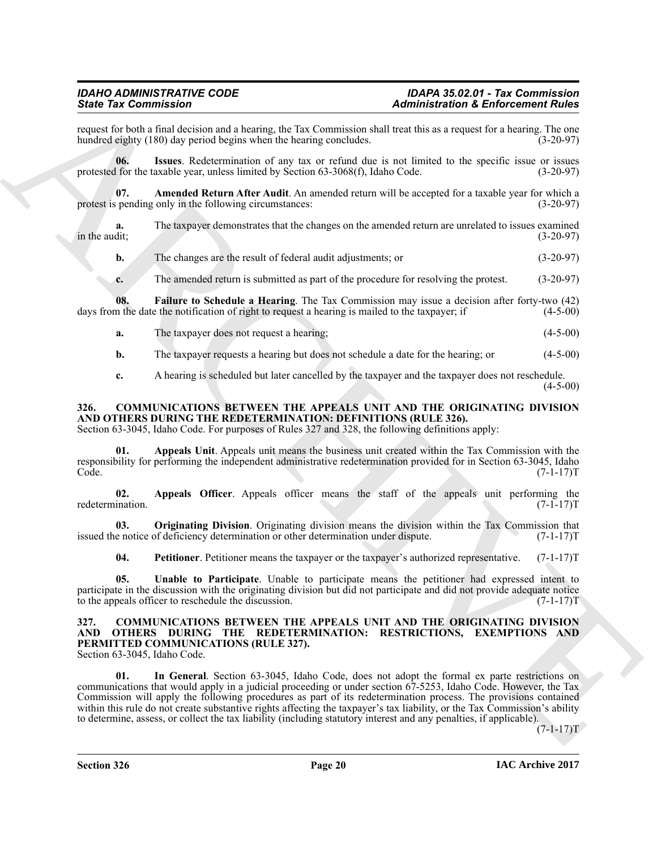request for both a final decision and a hearing, the Tax Commission shall treat this as a request for a hearing. The one hundred eighty (180) day period begins when the hearing concludes. (3-20-97) hundred eighty (180) day period begins when the hearing concludes.

<span id="page-19-12"></span>**06. Issues**. Redetermination of any tax or refund due is not limited to the specific issue or issues protested for the taxable year, unless limited by Section 63-3068(f), Idaho Code. (3-20-97)

<span id="page-19-10"></span>**07. Amended Return After Audit**. An amended return will be accepted for a taxable year for which a spending only in the following circumstances: (3-20-97) protest is pending only in the following circumstances:

**a.** The taxpayer demonstrates that the changes on the amended return are unrelated to issues examined in the audit;  $(3-20-97)$ in the audit; (3-20-97)

- **b.** The changes are the result of federal audit adjustments; or (3-20-97)
- <span id="page-19-11"></span>**c.** The amended return is submitted as part of the procedure for resolving the protest. (3-20-97)

**08. Failure to Schedule a Hearing**. The Tax Commission may issue a decision after forty-two (42) days from the date the notification of right to request a hearing is mailed to the taxpayer; if (4-5-00)

**a.** The taxpayer does not request a hearing; (4-5-00)

**b.** The taxpayer requests a hearing but does not schedule a date for the hearing; or (4-5-00)

<span id="page-19-4"></span><span id="page-19-2"></span>**c.** A hearing is scheduled but later cancelled by the taxpayer and the taxpayer does not reschedule.  $(4-5-00)$ 

#### <span id="page-19-0"></span>**326. COMMUNICATIONS BETWEEN THE APPEALS UNIT AND THE ORIGINATING DIVISION AND OTHERS DURING THE REDETERMINATION: DEFINITIONS (RULE 326).**

Section 63-3045, Idaho Code. For purposes of Rules 327 and 328, the following definitions apply:

**01. Appeals Unit**. Appeals unit means the business unit created within the Tax Commission with the responsibility for performing the independent administrative redetermination provided for in Section 63-3045, Idaho Code. (7-1-17)T

<span id="page-19-3"></span>**02. Appeals Officer**. Appeals officer means the staff of the appeals unit performing the redetermination. (7-1-17)T

**03. Originating Division**. Originating division means the division within the Tax Commission that issued the notice of deficiency determination or other determination under dispute. (7-1-17)T

<span id="page-19-7"></span><span id="page-19-6"></span><span id="page-19-5"></span>**04.** Petitioner. Petitioner means the taxpayer or the taxpayer's authorized representative. (7-1-17)T

**05. Unable to Participate**. Unable to participate means the petitioner had expressed intent to participate in the discussion with the originating division but did not participate and did not provide adequate notice to the appeals officer to reschedule the discussion. (7-1-17)T

#### <span id="page-19-8"></span><span id="page-19-1"></span>**327. COMMUNICATIONS BETWEEN THE APPEALS UNIT AND THE ORIGINATING DIVISION AND OTHERS DURING THE REDETERMINATION: RESTRICTIONS, EXEMPTIONS AND PERMITTED COMMUNICATIONS (RULE 327).**

<span id="page-19-9"></span>Section 63-3045, Idaho Code.

Since Tax Constraints in the Commission of *Definitionalistics* and *Administration* & *Berkreenment Bulge*<br>
Names of the state state of the state of the Commission of the neutral tensor response to the state of the state **01. In General**. Section 63-3045, Idaho Code, does not adopt the formal ex parte restrictions on communications that would apply in a judicial proceeding or under section 67-5253, Idaho Code. However, the Tax Commission will apply the following procedures as part of its redetermination process. The provisions contained within this rule do not create substantive rights affecting the taxpayer's tax liability, or the Tax Commission's ability to determine, assess, or collect the tax liability (including statutory interest and any penalties, if applicable).

 $(7-1-17)T$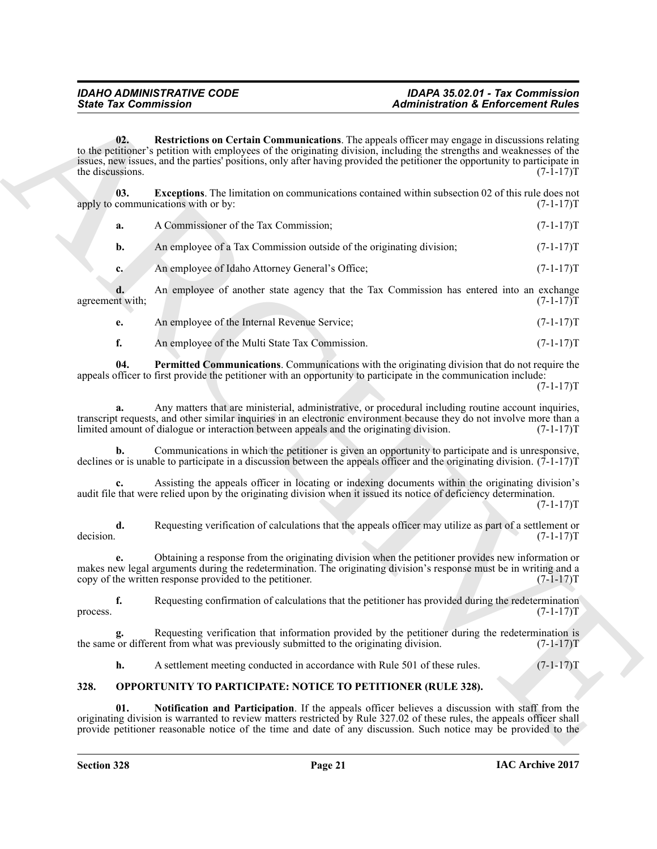<span id="page-20-3"></span>

| <b>State Tax Commission</b>                              |                                                                                         | <b>Administration &amp; Enforcement Rules</b>                                                                                                                                                                                                                                                                                                           |             |  |
|----------------------------------------------------------|-----------------------------------------------------------------------------------------|---------------------------------------------------------------------------------------------------------------------------------------------------------------------------------------------------------------------------------------------------------------------------------------------------------------------------------------------------------|-------------|--|
| 02.<br>the discussions.                                  |                                                                                         | Restrictions on Certain Communications. The appeals officer may engage in discussions relating<br>to the petitioner's petition with employees of the originating division, including the strengths and weaknesses of the<br>issues, new issues, and the parties' positions, only after having provided the petitioner the opportunity to participate in | $(7-1-17)T$ |  |
| 03.<br>apply to communications with or by:               |                                                                                         | <b>Exceptions</b> . The limitation on communications contained within subsection 02 of this rule does not                                                                                                                                                                                                                                               | $(7-1-17)T$ |  |
| a.                                                       | A Commissioner of the Tax Commission;                                                   |                                                                                                                                                                                                                                                                                                                                                         | $(7-1-17)T$ |  |
| b.                                                       | An employee of a Tax Commission outside of the originating division;                    |                                                                                                                                                                                                                                                                                                                                                         | $(7-1-17)T$ |  |
| $c_{\cdot}$                                              | An employee of Idaho Attorney General's Office;                                         |                                                                                                                                                                                                                                                                                                                                                         | $(7-1-17)T$ |  |
| d.<br>agreement with;                                    |                                                                                         | An employee of another state agency that the Tax Commission has entered into an exchange                                                                                                                                                                                                                                                                | $(7-1-17)T$ |  |
| e.                                                       | An employee of the Internal Revenue Service;                                            |                                                                                                                                                                                                                                                                                                                                                         | $(7-1-17)T$ |  |
| f.                                                       | An employee of the Multi State Tax Commission.                                          |                                                                                                                                                                                                                                                                                                                                                         | $(7-1-17)T$ |  |
| 04.                                                      |                                                                                         | Permitted Communications. Communications with the originating division that do not require the<br>appeals officer to first provide the petitioner with an opportunity to participate in the communication include:                                                                                                                                      | $(7-1-17)T$ |  |
| a.                                                       | limited amount of dialogue or interaction between appeals and the originating division. | Any matters that are ministerial, administrative, or procedural including routine account inquiries,<br>transcript requests, and other similar inquiries in an electronic environment because they do not involve more than a                                                                                                                           | $(7-1-17)T$ |  |
| b.                                                       |                                                                                         | Communications in which the petitioner is given an opportunity to participate and is unresponsive,<br>declines or is unable to participate in a discussion between the appeals officer and the originating division. $(7-1-17)$ T                                                                                                                       |             |  |
|                                                          |                                                                                         | Assisting the appeals officer in locating or indexing documents within the originating division's<br>audit file that were relied upon by the originating division when it issued its notice of deficiency determination.                                                                                                                                | $(7-1-17)T$ |  |
| d.<br>decision.                                          |                                                                                         | Requesting verification of calculations that the appeals officer may utilize as part of a settlement or                                                                                                                                                                                                                                                 | $(7-1-17)T$ |  |
| copy of the written response provided to the petitioner. |                                                                                         | Obtaining a response from the originating division when the petitioner provides new information or<br>makes new legal arguments during the redetermination. The originating division's response must be in writing and a                                                                                                                                | $(7-1-17)T$ |  |
| f.<br>process.                                           |                                                                                         | Requesting confirmation of calculations that the petitioner has provided during the redetermination                                                                                                                                                                                                                                                     | $(7-1-17)T$ |  |
| g.                                                       | the same or different from what was previously submitted to the originating division.   | Requesting verification that information provided by the petitioner during the redetermination is                                                                                                                                                                                                                                                       | $(7-1-17)T$ |  |
| h.                                                       | A settlement meeting conducted in accordance with Rule 501 of these rules.              |                                                                                                                                                                                                                                                                                                                                                         | $(7-1-17)T$ |  |
| 328.                                                     | OPPORTUNITY TO PARTICIPATE: NOTICE TO PETITIONER (RULE 328).                            |                                                                                                                                                                                                                                                                                                                                                         |             |  |
| 01.                                                      |                                                                                         | Notification and Participation. If the appeals officer believes a discussion with staff from the<br>originating division is warranted to review matters restricted by Rule 327.02 of these rules, the appeals officer shall<br>provide petitioner reasonable notice of the time and date of any discussion. Such notice may be provided to the          |             |  |

<span id="page-20-2"></span><span id="page-20-1"></span>

| An employee of the Internal Revenue Service: |  | $(7-1-17)T$ |
|----------------------------------------------|--|-------------|

### <span id="page-20-5"></span><span id="page-20-4"></span><span id="page-20-0"></span>**328. OPPORTUNITY TO PARTICIPATE: NOTICE TO PETITIONER (RULE 328).**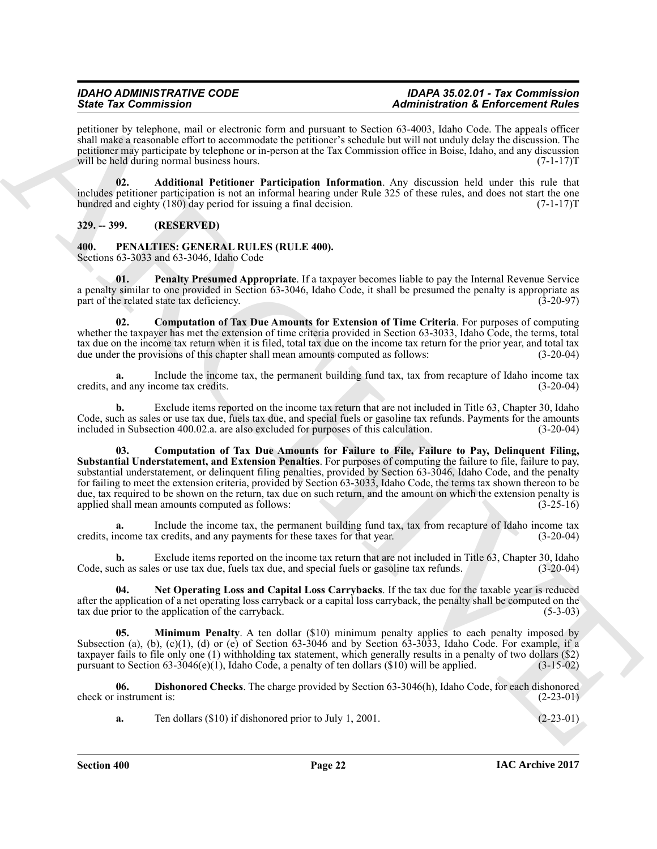petitioner by telephone, mail or electronic form and pursuant to Section 63-4003, Idaho Code. The appeals officer shall make a reasonable effort to accommodate the petitioner's schedule but will not unduly delay the discussion. The petitioner may participate by telephone or in-person at the Tax Commission office in Boise, Idaho, and any discussion will be held during normal business hours. (7-1-17) T

<span id="page-21-8"></span>**02. Additional Petitioner Participation Information**. Any discussion held under this rule that includes petitioner participation is not an informal hearing under Rule 325 of these rules, and does not start the one hundred and eighty (180) day period for issuing a final decision. (7-1-17) from the extended on the extended of  $(7-1-17)$ T

### <span id="page-21-0"></span>**329. -- 399. (RESERVED)**

<span id="page-21-9"></span><span id="page-21-1"></span>**400. PENALTIES: GENERAL RULES (RULE 400).** Sections 63-3033 and 63-3046, Idaho Code

<span id="page-21-7"></span>**01. Penalty Presumed Appropriate**. If a taxpayer becomes liable to pay the Internal Revenue Service a penalty similar to one provided in Section 63-3046, Idaho Code, it shall be presumed the penalty is appropriate as part of the related state tax deficiency.  $(3-20-97)$ part of the related state tax deficiency.

<span id="page-21-2"></span>**02. Computation of Tax Due Amounts for Extension of Time Criteria**. For purposes of computing whether the taxpayer has met the extension of time criteria provided in Section 63-3033, Idaho Code, the terms, total tax due on the income tax return when it is filed, total tax due on the income tax return for the prior year, and total tax due under the provisions of this chapter shall mean amounts computed as follows: (3-20-04) due under the provisions of this chapter shall mean amounts computed as follows:

Include the income tax, the permanent building fund tax, tax from recapture of Idaho income tax credits. (3-20-04) credits, and any income tax credits.

<span id="page-21-3"></span>**b.** Exclude items reported on the income tax return that are not included in Title 63, Chapter 30, Idaho Code, such as sales or use tax due, fuels tax due, and special fuels or gasoline tax refunds. Payments for the amounts included in Subsection 400.02.a. are also excluded for purposes of this calculation. (3-20-04) included in Subsection 400.02.a. are also excluded for purposes of this calculation.

Since Fax Commutation<br>
Since  $\mu$  contains a proposition of the system of the system of the system of the system of the system of the system of the system of the system of the system of the system of the system of the sys 03. Computation of Tax Due Amounts for Failure to File, Failure to Pay, Delinquent Filing, Substantial Understatement, and Extension Penalties. For purposes of computing the failure to file, failure to pay, substantial understatement, or delinquent filing penalties, provided by Section 63-3046, Idaho Code, and the penalty for failing to meet the extension criteria, provided by Section 63-3033, Idaho Code, the terms tax shown thereon to be due, tax required to be shown on the return, tax due on such return, and the amount on which the extension penalty is applied shall mean amounts computed as follows: (3-25-16)

**a.** Include the income tax, the permanent building fund tax, tax from recapture of Idaho income tax credits, income tax credits, and any payments for these taxes for that year. (3-20-04)

**b.** Exclude items reported on the income tax return that are not included in Title 63, Chapter 30, Idaho Code, such as sales or use tax due, fuels tax due, and special fuels or gasoline tax refunds. (3-20-04)

<span id="page-21-6"></span>**04. Net Operating Loss and Capital Loss Carrybacks**. If the tax due for the taxable year is reduced after the application of a net operating loss carryback or a capital loss carryback, the penalty shall be computed on the tax due prior to the application of the carryback. (5-3-03) tax due prior to the application of the carryback.

<span id="page-21-5"></span>**05. Minimum Penalty**. A ten dollar (\$10) minimum penalty applies to each penalty imposed by Subsection (a), (b), (c)(1), (d) or (e) of Section 63-3046 and by Section 63-3033, Idaho Code. For example, if a taxpayer fails to file only one (1) withholding tax statement, which generally results in a penalty of two dollars (\$2) pursuant to Section 63-3046(e)(1), Idaho Code, a penalty of ten dollars  $(\$10)$  will be applied. (3-15-02)

**06. Dishonored Checks**. The charge provided by Section 63-3046(h), Idaho Code, for each dishonored check or instrument is: (2-23-01)

<span id="page-21-4"></span>**a.** Ten dollars (\$10) if dishonored prior to July 1, 2001. (2-23-01)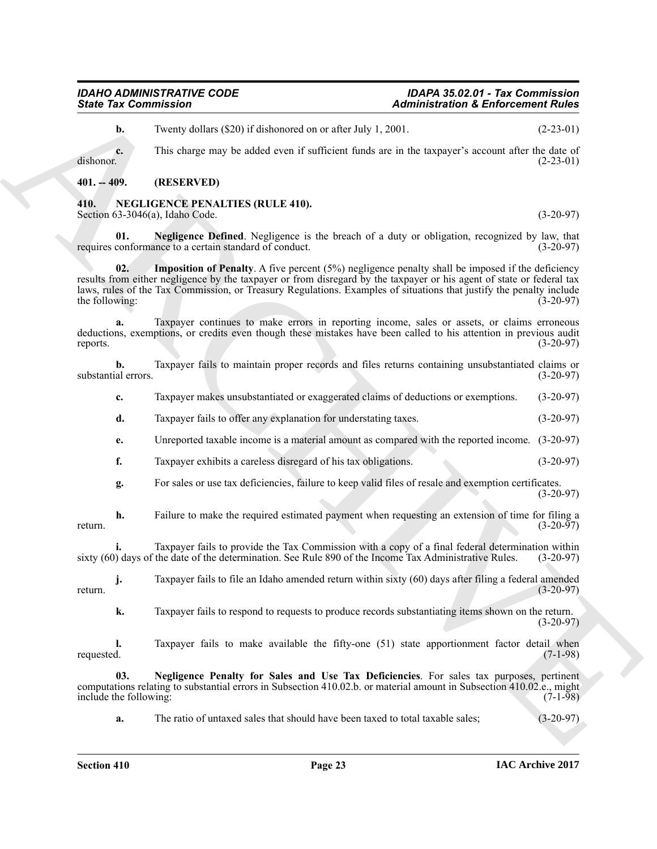#### **Section 410 Page 23**

## *IDAHO ADMINISTRATIVE CODE IDAPA 35.02.01 - Tax Commission*

**b.** Twenty dollars (\$20) if dishonored on or after July 1, 2001. (2-23-01)

**c.** This charge may be added even if sufficient funds are in the taxpayer's account after the date of dishonor. (2-23-01) dishonor. (2-23-01)

### <span id="page-22-0"></span>**401. -- 409. (RESERVED)**

#### <span id="page-22-2"></span><span id="page-22-1"></span>**410. NEGLIGENCE PENALTIES (RULE 410).** Section 63-3046(a), Idaho Code. (3-20-97)

<span id="page-22-4"></span><span id="page-22-3"></span>**01. Negligence Defined**. Negligence is the breach of a duty or obligation, recognized by law, that requires conformance to a certain standard of conduct. (3-20-97)

Since Tax Commission Taxable to the control of the state of the Christmas Christmas Christmas Christmas (22-10)<br>
The clause and to add the state of the control of the state of the control of the control of the control of **Imposition of Penalty.** A five percent (5%) negligence penalty shall be imposed if the deficiency results from either negligence by the taxpayer or from disregard by the taxpayer or his agent of state or federal tax laws, rules of the Tax Commission, or Treasury Regulations. Examples of situations that justify the penalty include the following: (3-20-97) the following:

**a.** Taxpayer continues to make errors in reporting income, sales or assets, or claims erroneous deductions, exemptions, or credits even though these mistakes have been called to his attention in previous audit reports. (3-20-97)

**b.** Taxpayer fails to maintain proper records and files returns containing unsubstantiated claims or substantial errors. (3-20-97)

**c.** Taxpayer makes unsubstantiated or exaggerated claims of deductions or exemptions. (3-20-97)

- **d.** Taxpayer fails to offer any explanation for understating taxes.  $(3-20-97)$
- **e.** Unreported taxable income is a material amount as compared with the reported income. (3-20-97)
- **f.** Taxpayer exhibits a careless disregard of his tax obligations. (3-20-97)
- **g.** For sales or use tax deficiencies, failure to keep valid files of resale and exemption certificates. (3-20-97)

**h.** Failure to make the required estimated payment when requesting an extension of time for filing a return.  $(3-20-97)$ 

**i.** Taxpayer fails to provide the Tax Commission with a copy of a final federal determination within sixty (60) days of the date of the determination. See Rule 890 of the Income Tax Administrative Rules. (3-20-97)

**j.** Taxpayer fails to file an Idaho amended return within sixty (60) days after filing a federal amended (3-20-97) return.  $(3-20-97)$ 

**k.** Taxpayer fails to respond to requests to produce records substantiating items shown on the return.  $(3-20-97)$ 

**l.** Taxpayer fails to make available the fifty-one (51) state apportionment factor detail when requested. (7-1-98) requested. (7-1-98)

**03. Negligence Penalty for Sales and Use Tax Deficiencies**. For sales tax purposes, pertinent computations relating to substantial errors in Subsection 410.02.b. or material amount in Subsection 410.02.e., might include the following: (7-1-98)

<span id="page-22-5"></span>**a.** The ratio of untaxed sales that should have been taxed to total taxable sales; (3-20-97)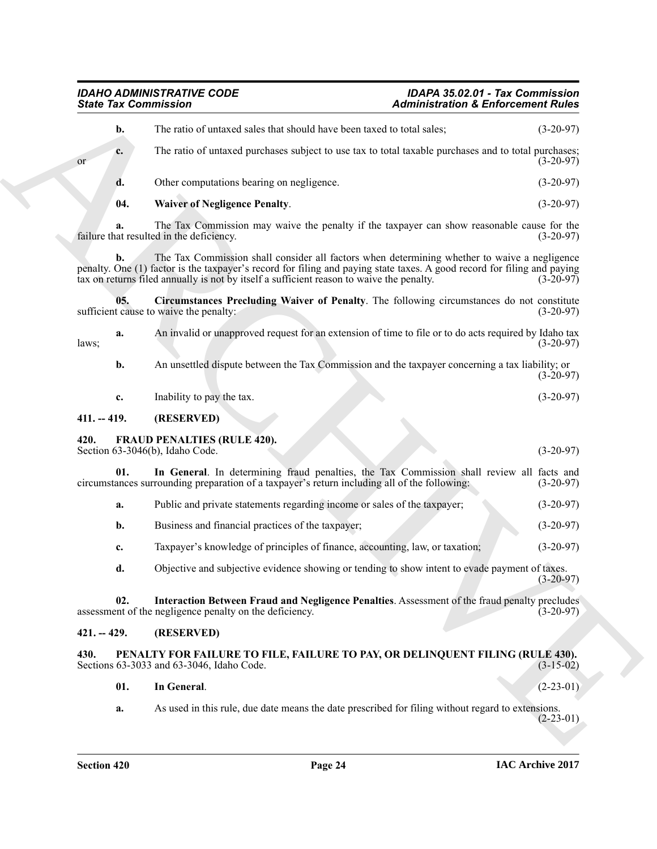<span id="page-23-10"></span><span id="page-23-9"></span><span id="page-23-8"></span><span id="page-23-7"></span><span id="page-23-6"></span><span id="page-23-5"></span><span id="page-23-4"></span><span id="page-23-3"></span><span id="page-23-2"></span><span id="page-23-1"></span><span id="page-23-0"></span>

| <b>State Tax Commission</b> |                                                                                                                                                                                                                                                                                                                     | <b>Administration &amp; Enforcement Rules</b> |             |  |
|-----------------------------|---------------------------------------------------------------------------------------------------------------------------------------------------------------------------------------------------------------------------------------------------------------------------------------------------------------------|-----------------------------------------------|-------------|--|
| b.                          | The ratio of untaxed sales that should have been taxed to total sales;                                                                                                                                                                                                                                              |                                               | $(3-20-97)$ |  |
| c.<br><b>or</b>             | The ratio of untaxed purchases subject to use tax to total taxable purchases and to total purchases;                                                                                                                                                                                                                |                                               | $(3-20-97)$ |  |
| d.                          | Other computations bearing on negligence.                                                                                                                                                                                                                                                                           |                                               | $(3-20-97)$ |  |
| 04.                         | <b>Waiver of Negligence Penalty.</b>                                                                                                                                                                                                                                                                                |                                               | $(3-20-97)$ |  |
| a.                          | The Tax Commission may waive the penalty if the taxpayer can show reasonable cause for the<br>failure that resulted in the deficiency.                                                                                                                                                                              |                                               | $(3-20-97)$ |  |
| b.                          | The Tax Commission shall consider all factors when determining whether to waive a negligence<br>penalty. One (1) factor is the taxpayer's record for filing and paying state taxes. A good record for filing and paying<br>tax on returns filed annually is not by itself a sufficient reason to waive the penalty. |                                               | $(3-20-97)$ |  |
| 05.                         | Circumstances Precluding Waiver of Penalty. The following circumstances do not constitute<br>sufficient cause to waive the penalty:                                                                                                                                                                                 |                                               | $(3-20-97)$ |  |
| a.<br>laws;                 | An invalid or unapproved request for an extension of time to file or to do acts required by Idaho tax                                                                                                                                                                                                               |                                               | $(3-20-97)$ |  |
| b.                          | An unsettled dispute between the Tax Commission and the taxpayer concerning a tax liability; or                                                                                                                                                                                                                     |                                               | $(3-20-97)$ |  |
| $\mathbf{c}$ .              | Inability to pay the tax.                                                                                                                                                                                                                                                                                           |                                               | $(3-20-97)$ |  |
| $411. - 419.$               | (RESERVED)                                                                                                                                                                                                                                                                                                          |                                               |             |  |
| 420.                        | <b>FRAUD PENALTIES (RULE 420).</b><br>Section 63-3046(b), Idaho Code.                                                                                                                                                                                                                                               |                                               | $(3-20-97)$ |  |
| 01.                         | In General. In determining fraud penalties, the Tax Commission shall review all facts and<br>circumstances surrounding preparation of a taxpayer's return including all of the following:                                                                                                                           |                                               | $(3-20-97)$ |  |
| a.                          | Public and private statements regarding income or sales of the taxpayer;                                                                                                                                                                                                                                            |                                               | $(3-20-97)$ |  |
| b.                          | Business and financial practices of the taxpayer;                                                                                                                                                                                                                                                                   |                                               | $(3-20-97)$ |  |
| c.                          | Taxpayer's knowledge of principles of finance, accounting, law, or taxation;                                                                                                                                                                                                                                        |                                               | $(3-20-97)$ |  |
| d.                          | Objective and subjective evidence showing or tending to show intent to evade payment of taxes.                                                                                                                                                                                                                      |                                               | $(3-20-97)$ |  |
| 02.                         | Interaction Between Fraud and Negligence Penalties. Assessment of the fraud penalty precludes<br>assessment of the negligence penalty on the deficiency.                                                                                                                                                            |                                               | $(3-20-97)$ |  |
| $421. - 429.$               | (RESERVED)                                                                                                                                                                                                                                                                                                          |                                               |             |  |
| 430.                        | PENALTY FOR FAILURE TO FILE, FAILURE TO PAY, OR DELINQUENT FILING (RULE 430).<br>Sections 63-3033 and 63-3046, Idaho Code.                                                                                                                                                                                          |                                               | $(3-15-02)$ |  |
| 01.                         | In General.                                                                                                                                                                                                                                                                                                         |                                               | $(2-23-01)$ |  |
| a.                          | As used in this rule, due date means the date prescribed for filing without regard to extensions.                                                                                                                                                                                                                   |                                               | $(2-23-01)$ |  |
|                             |                                                                                                                                                                                                                                                                                                                     |                                               |             |  |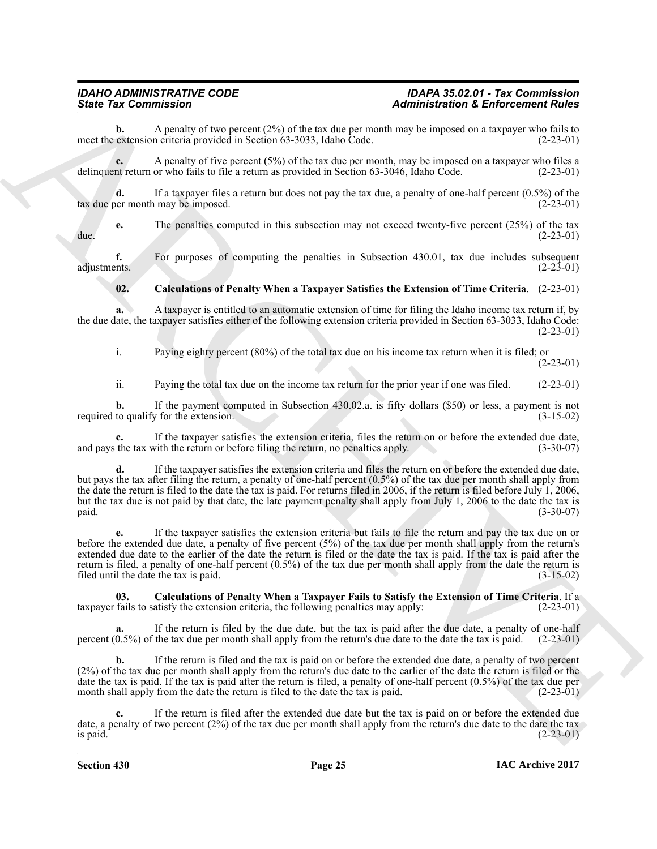**b.** A penalty of two percent (2%) of the tax due per month may be imposed on a taxpayer who fails to extension criteria provided in Section 63-3033, Idaho Code. (2-23-01) meet the extension criteria provided in Section 63-3033, Idaho Code.

**c.** A penalty of five percent (5%) of the tax due per month, may be imposed on a taxpayer who files a delinquent return or who fails to file a return as provided in Section 63-3046, Idaho Code. (2-23-01)

**d.** If a taxpayer files a return but does not pay the tax due, a penalty of one-half percent (0.5%) of the tax due per month may be imposed. (2-23-01)

**e.** The penalties computed in this subsection may not exceed twenty-five percent (25%) of the tax due. (2-23-01)

**f.** For purposes of computing the penalties in Subsection 430.01, tax due includes subsequent ents. (2-23-01) adjustments. (2-23-01)

### <span id="page-24-1"></span>**02. Calculations of Penalty When a Taxpayer Satisfies the Extension of Time Criteria**. (2-23-01)

**a.** A taxpayer is entitled to an automatic extension of time for filing the Idaho income tax return if, by the due date, the taxpayer satisfies either of the following extension criteria provided in Section 63-3033, Idaho Code: (2-23-01)

i. Paying eighty percent (80%) of the total tax due on his income tax return when it is filed; or (2-23-01)

ii. Paying the total tax due on the income tax return for the prior year if one was filed. (2-23-01)

**b.** If the payment computed in Subsection 430.02.a. is fifty dollars (\$50) or less, a payment is not required to qualify for the extension. (3-15-02)

**c.** If the taxpayer satisfies the extension criteria, files the return on or before the extended due date, and pays the tax with the return or before filing the return, no penalties apply. (3-30-07)

Since Tax Commission in the system of the system of the system of the system of the system of the system of the system of the system of the system of the system of the system of the system of the system of the system of t **d.** If the taxpayer satisfies the extension criteria and files the return on or before the extended due date, but pays the tax after filing the return, a penalty of one-half percent (0.5%) of the tax due per month shall apply from the date the return is filed to the date the tax is paid. For returns filed in 2006, if the return is filed before July 1, 2006, but the tax due is not paid by that date, the late payment penalty shall apply from July 1, 2006 to the date the tax is paid. (3-30-07)

**e.** If the taxpayer satisfies the extension criteria but fails to file the return and pay the tax due on or before the extended due date, a penalty of five percent (5%) of the tax due per month shall apply from the return's extended due date to the earlier of the date the return is filed or the date the tax is paid. If the tax is paid after the return is filed, a penalty of one-half percent (0.5%) of the tax due per month shall apply from the date the return is filed until the date the tax is paid. (3-15-02)

<span id="page-24-0"></span>**03. Calculations of Penalty When a Taxpayer Fails to Satisfy the Extension of Time Criteria**. If a taxpayer fails to satisfy the extension criteria, the following penalties may apply: (2-23-01)

**a.** If the return is filed by the due date, but the tax is paid after the due date, a penalty of one-half percent (0.5%) of the tax due per month shall apply from the return's due date to the date the tax is paid. (2-23-01)

**b.** If the return is filed and the tax is paid on or before the extended due date, a penalty of two percent (2%) of the tax due per month shall apply from the return's due date to the earlier of the date the return is filed or the date the tax is paid. If the tax is paid after the return is filed, a penalty of one-half percent (0.5%) of the tax due per month shall apply from the date the return is filed to the date the tax is paid. (2-23-01)

**c.** If the return is filed after the extended due date but the tax is paid on or before the extended due date, a penalty of two percent (2%) of the tax due per month shall apply from the return's due date to the date the tax is paid.  $(2-23-01)$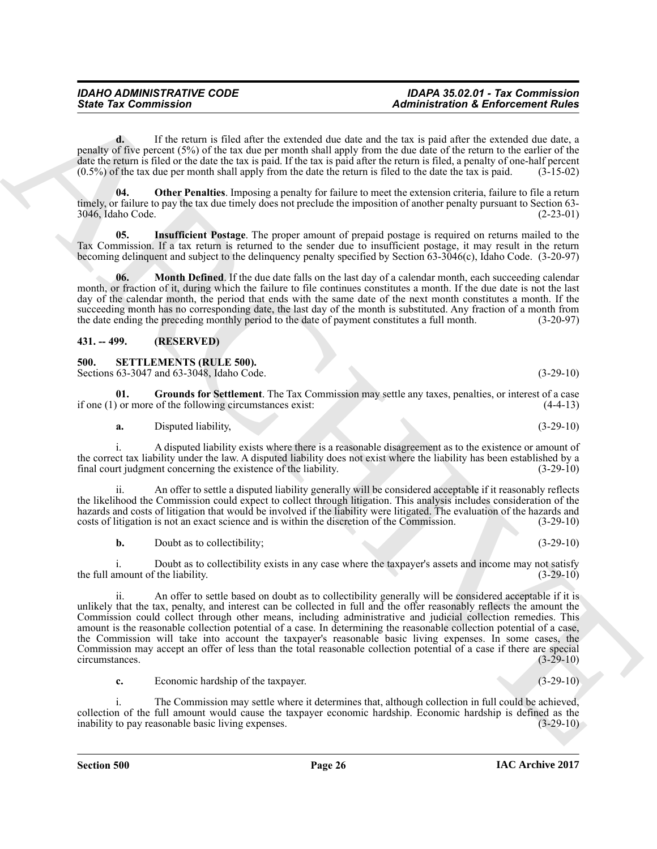**d.** If the return is filed after the extended due date and the tax is paid after the extended due date, a penalty of five percent (5%) of the tax due per month shall apply from the due date of the return to the earlier of the date the return is filed or the date the tax is paid. If the tax is paid after the return is filed, a penalty of one-half percent (0.5%) of the tax due per month shall apply from the date the return is filed to the date the tax is paid. (3-15-02)

<span id="page-25-4"></span>**04. Other Penalties**. Imposing a penalty for failure to meet the extension criteria, failure to file a return timely, or failure to pay the tax due timely does not preclude the imposition of another penalty pursuant to Section 63- 3046, Idaho Code. (2-23-01)

<span id="page-25-2"></span>**05. Insufficient Postage**. The proper amount of prepaid postage is required on returns mailed to the Tax Commission. If a tax return is returned to the sender due to insufficient postage, it may result in the return becoming delinquent and subject to the delinquency penalty specified by Section 63-3046(c), Idaho Code. (3-20-97)

<span id="page-25-3"></span>**06. Month Defined**. If the due date falls on the last day of a calendar month, each succeeding calendar month, or fraction of it, during which the failure to file continues constitutes a month. If the due date is not the last day of the calendar month, the period that ends with the same date of the next month constitutes a month. If the succeeding month has no corresponding date, the last day of the month is substituted. Any fraction of a month from the date ending the preceding monthly period to the date of payment constitutes a full month. (3-20-97)

### <span id="page-25-0"></span>**431. -- 499. (RESERVED)**

<span id="page-25-5"></span><span id="page-25-1"></span>**500. SETTLEMENTS (RULE 500).**

Sections 63-3047 and 63-3048, Idaho Code. (3-29-10)

**01. Grounds for Settlement**. The Tax Commission may settle any taxes, penalties, or interest of a case if one  $(1)$  or more of the following circumstances exist:

<span id="page-25-6"></span>**a.** Disputed liability,  $(3-29-10)$ 

i. A disputed liability exists where there is a reasonable disagreement as to the existence or amount of the correct tax liability under the law. A disputed liability does not exist where the liability has been established by a final court indement concerning the existence of the liability. (3-29-10) final court judgment concerning the existence of the liability.

ii. An offer to settle a disputed liability generally will be considered acceptable if it reasonably reflects the likelihood the Commission could expect to collect through litigation. This analysis includes consideration of the hazards and costs of litigation that would be involved if the liability were litigated. The evaluation of the hazards and costs of litigation is not an exact science and is within the discretion of the Commission. (3-29-10 costs of litigation is not an exact science and is within the discretion of the Commission.

**b.** Doubt as to collectibility; (3-29-10)

i. Doubt as to collectibility exists in any case where the taxpayer's assets and income may not satisfy mount of the liability. (3-29-10) the full amount of the liability.

Since Tax Commission<br>
The figure cand in the difference of Administration & Enforcement Butter<br>
The figure can be the state of the state of the state of the state of the state of the state of the state of the state of the ii. An offer to settle based on doubt as to collectibility generally will be considered acceptable if it is unlikely that the tax, penalty, and interest can be collected in full and the offer reasonably reflects the amount the Commission could collect through other means, including administrative and judicial collection remedies. This amount is the reasonable collection potential of a case. In determining the reasonable collection potential of a case, the Commission will take into account the taxpayer's reasonable basic living expenses. In some cases, the Commission may accept an offer of less than the total reasonable collection potential of a case if there are special circumstances. (3-29-10) circumstances.

**c.** Economic hardship of the taxpayer. (3-29-10)

i. The Commission may settle where it determines that, although collection in full could be achieved, collection of the full amount would cause the taxpayer economic hardship. Economic hardship is defined as the inability to pay reasonable basic living expenses. (3-29-10) inability to pay reasonable basic living expenses.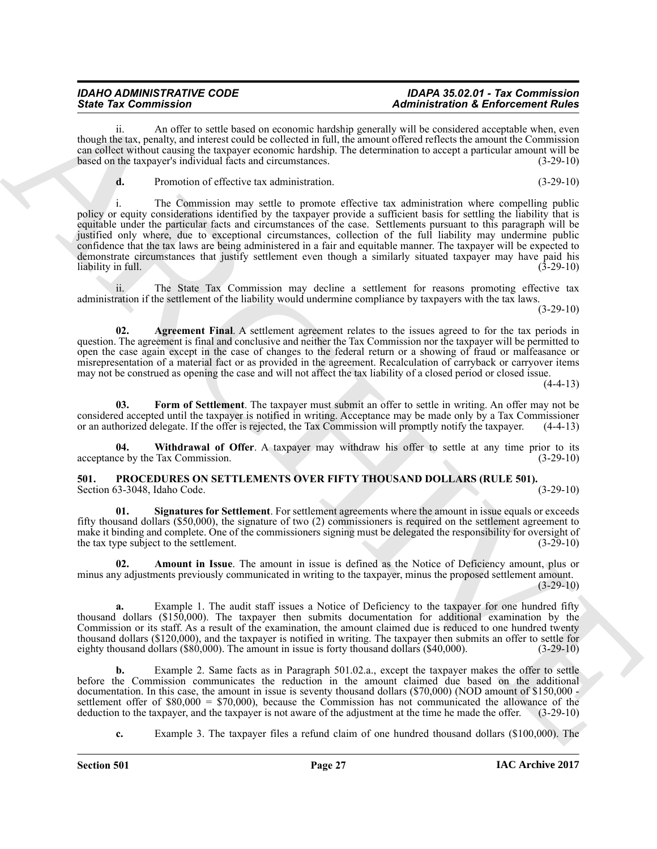ii. An offer to settle based on economic hardship generally will be considered acceptable when, even though the tax, penalty, and interest could be collected in full, the amount offered reflects the amount the Commission can collect without causing the taxpayer economic hardship. The determination to accept a particular amount will be based on the taxpayer's individual facts and circumstances. (3-29-10)

**d.** Promotion of effective tax administration. (3-29-10)

Sinte Tax Commission Contribute the systems health parameters and the system of Enforcement Roll and the system of the system of the system of the system of the system of the system of the system of the system of the syst i. The Commission may settle to promote effective tax administration where compelling public policy or equity considerations identified by the taxpayer provide a sufficient basis for settling the liability that is equitable under the particular facts and circumstances of the case. Settlements pursuant to this paragraph will be justified only where, due to exceptional circumstances, collection of the full liability may undermine public confidence that the tax laws are being administered in a fair and equitable manner. The taxpayer will be expected to demonstrate circumstances that justify settlement even though a similarly situated taxpayer may have paid his liability in full.

ii. The State Tax Commission may decline a settlement for reasons promoting effective tax administration if the settlement of the liability would undermine compliance by taxpayers with the tax laws.

 $(3-29-10)$ 

<span id="page-26-4"></span>**02. Agreement Final**. A settlement agreement relates to the issues agreed to for the tax periods in question. The agreement is final and conclusive and neither the Tax Commission nor the taxpayer will be permitted to open the case again except in the case of changes to the federal return or a showing of fraud or malfeasance or misrepresentation of a material fact or as provided in the agreement. Recalculation of carryback or carryover items may not be construed as opening the case and will not affect the tax liability of a closed period or closed issue.

 $(4-4-13)$ 

<span id="page-26-5"></span>Form of Settlement. The taxpayer must submit an offer to settle in writing. An offer may not be considered accepted until the taxpayer is notified in writing. Acceptance may be made only by a Tax Commissioner or an authorized delegate. If the offer is rejected, the Tax Commission will promptly notify the taxpayer. (4-4-13)

<span id="page-26-6"></span>**04.** Withdrawal of Offer. A taxpayer may withdraw his offer to settle at any time prior to its ce by the Tax Commission. (3-29-10) acceptance by the Tax Commission.

#### <span id="page-26-1"></span><span id="page-26-0"></span>**501.** PROCEDURES ON SETTLEMENTS OVER FIFTY THOUSAND DOLLARS (RULE 501).<br>Section 63-3048, Idaho Code. (3-29-10) Section 63-3048, Idaho Code.

<span id="page-26-3"></span>**01. Signatures for Settlement**. For settlement agreements where the amount in issue equals or exceeds fifty thousand dollars (\$50,000), the signature of two (2) commissioners is required on the settlement agreement to make it binding and complete. One of the commissioners signing must be delegated the responsibility for oversight of the tax type subject to the settlement. (3-29-10) the tax type subject to the settlement.

<span id="page-26-2"></span>**02. Amount in Issue**. The amount in issue is defined as the Notice of Deficiency amount, plus or minus any adjustments previously communicated in writing to the taxpayer, minus the proposed settlement amount.  $(3-29-10)$ 

Example 1. The audit staff issues a Notice of Deficiency to the taxpayer for one hundred fifty thousand dollars (\$150,000). The taxpayer then submits documentation for additional examination by the Commission or its staff. As a result of the examination, the amount claimed due is reduced to one hundred twenty thousand dollars (\$120,000), and the taxpayer is notified in writing. The taxpayer then submits an offer to settle for eighty thousand dollars (\$80,000). The amount in issue is forty thousand dollars (\$40,000). (3-29-10)

**b.** Example 2. Same facts as in Paragraph 501.02.a., except the taxpayer makes the offer to settle before the Commission communicates the reduction in the amount claimed due based on the additional documentation. In this case, the amount in issue is seventy thousand dollars (\$70,000) (NOD amount of \$150,000 settlement offer of \$80,000 = \$70,000), because the Commission has not communicated the allowance of the deduction to the taxpayer, and the taxpayer is not aware of the adjustment at the time he made the offer. (3-29-10)

**c.** Example 3. The taxpayer files a refund claim of one hundred thousand dollars (\$100,000). The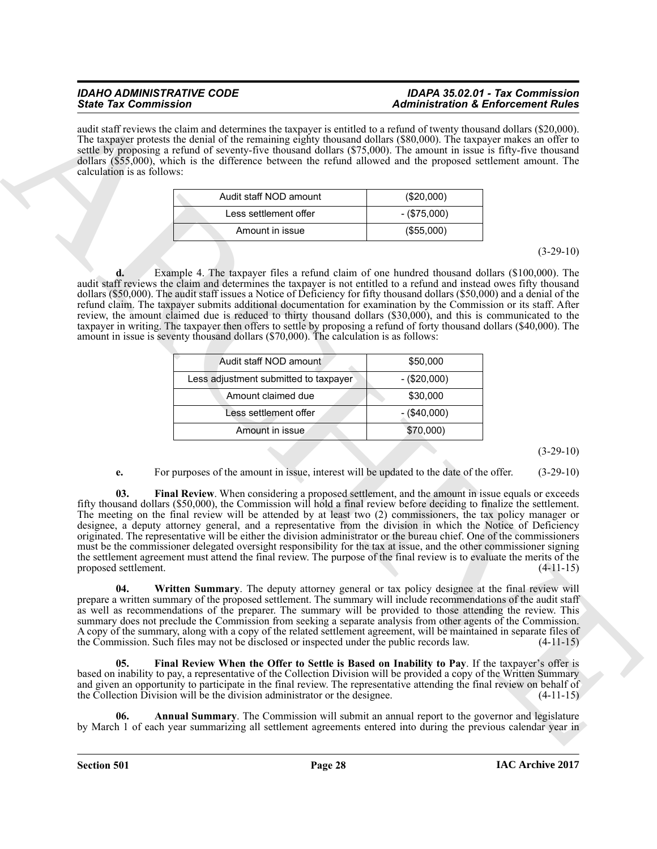audit staff reviews the claim and determines the taxpayer is entitled to a refund of twenty thousand dollars (\$20,000). The taxpayer protests the denial of the remaining eighty thousand dollars (\$80,000). The taxpayer makes an offer to settle by proposing a refund of seventy-five thousand dollars (\$75,000). The amount in issue is fifty-five thousand dollars (\$55,000), which is the difference between the refund allowed and the proposed settlement amount. The calculation is as follows:

| Audit staff NOD amount | $(\$20,000)$  |
|------------------------|---------------|
| I ess settlement offer | $-(\$75,000)$ |
| Amount in issue        | (\$55,000)    |

(3-29-10)

**d.** Example 4. The taxpayer files a refund claim of one hundred thousand dollars (\$100,000). The audit staff reviews the claim and determines the taxpayer is not entitled to a refund and instead owes fifty thousand dollars (\$50,000). The audit staff issues a Notice of Deficiency for fifty thousand dollars (\$50,000) and a denial of the refund claim. The taxpayer submits additional documentation for examination by the Commission or its staff. After review, the amount claimed due is reduced to thirty thousand dollars (\$30,000), and this is communicated to the taxpayer in writing. The taxpayer then offers to settle by proposing a refund of forty thousand dollars (\$40,000). The amount in issue is seventy thousand dollars (\$70,000). The calculation is as follows:

| Audit staff NOD amount                | \$50,000      |
|---------------------------------------|---------------|
| Less adjustment submitted to taxpayer | $-(\$20,000)$ |
| Amount claimed due                    | \$30,000      |
| Less settlement offer                 | $-(\$40,000)$ |
| Amount in issue                       | \$70,000)     |

(3-29-10)

#### <span id="page-27-1"></span>**e.** For purposes of the amount in issue, interest will be updated to the date of the offer.  $(3-29-10)$

Since Tax Commission and U.S. Commission and the state of the state of the Commission and the Commission and the Commission and the Commission and the Commission and the Commission and the Commission and the Commission an **03. Final Review**. When considering a proposed settlement, and the amount in issue equals or exceeds fifty thousand dollars (\$50,000), the Commission will hold a final review before deciding to finalize the settlement. The meeting on the final review will be attended by at least two (2) commissioners, the tax policy manager or designee, a deputy attorney general, and a representative from the division in which the Notice of Deficiency originated. The representative will be either the division administrator or the bureau chief. One of the commissioners must be the commissioner delegated oversight responsibility for the tax at issue, and the other commissioner signing the settlement agreement must attend the final review. The purpose of the final review is to evaluate the merits of the proposed settlement. (4-11-15)

<span id="page-27-3"></span>**04. Written Summary**. The deputy attorney general or tax policy designee at the final review will prepare a written summary of the proposed settlement. The summary will include recommendations of the audit staff as well as recommendations of the preparer. The summary will be provided to those attending the review. This summary does not preclude the Commission from seeking a separate analysis from other agents of the Commission. A copy of the summary, along with a copy of the related settlement agreement, will be maintained in separate files of the Commission. Such files may not be disclosed or inspected under the public records law. (4-11-15)

<span id="page-27-2"></span>**05. Final Review When the Offer to Settle is Based on Inability to Pay**. If the taxpayer's offer is based on inability to pay, a representative of the Collection Division will be provided a copy of the Written Summary and given an opportunity to participate in the final review. The representative attending the final review on behalf of the Collection Division will be the division administrator or the designee. (4-11-15)

<span id="page-27-0"></span>**06. Annual Summary**. The Commission will submit an annual report to the governor and legislature by March 1 of each year summarizing all settlement agreements entered into during the previous calendar year in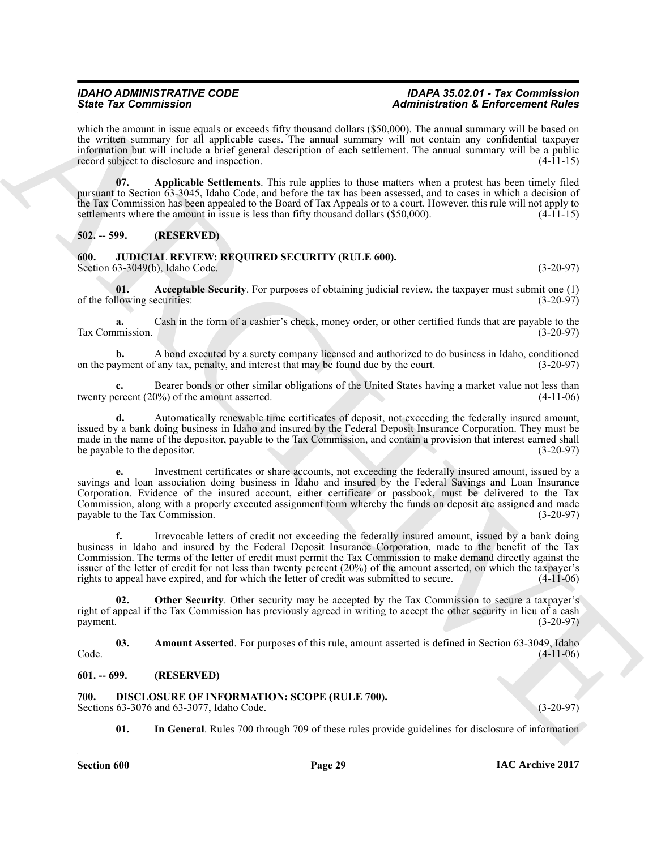which the amount in issue equals or exceeds fifty thousand dollars (\$50,000). The annual summary will be based on the written summary for all applicable cases. The annual summary will not contain any confidential taxpayer information but will include a brief general description of each settlement. The annual summary will be a public record subject to disclosure and inspection. (4-11-15)

<span id="page-28-10"></span>**07. Applicable Settlements**. This rule applies to those matters when a protest has been timely filed pursuant to Section 63-3045, Idaho Code, and before the tax has been assessed, and to cases in which a decision of the Tax Commission has been appealed to the Board of Tax Appeals or to a court. However, this rule will not apply to settlements where the amount in issue is less than fifty thousand dollars  $(\$50,000)$ .  $(4-11-15)$ 

<span id="page-28-0"></span>**502. -- 599. (RESERVED)**

#### <span id="page-28-6"></span><span id="page-28-1"></span>**600. JUDICIAL REVIEW: REQUIRED SECURITY (RULE 600).** Section 63-3049(b), Idaho Code. (3-20-97)

<span id="page-28-7"></span>**01. Acceptable Security**. For purposes of obtaining judicial review, the taxpayer must submit one (1) of the following securities: (3-20-97)

**a.** Cash in the form of a cashier's check, money order, or other certified funds that are payable to the Tax Commission. (3-20-97)

**b.** A bond executed by a surety company licensed and authorized to do business in Idaho, conditioned on the payment of any tax, penalty, and interest that may be found due by the court. (3-20-97)

**c.** Bearer bonds or other similar obligations of the United States having a market value not less than twenty percent (20%) of the amount asserted. (4-11-06)

**d.** Automatically renewable time certificates of deposit, not exceeding the federally insured amount, issued by a bank doing business in Idaho and insured by the Federal Deposit Insurance Corporation. They must be made in the name of the depositor, payable to the Tax Commission, and contain a provision that interest earned shall be payable to the depositor. (3-20-97)

Since Yar Commission and the space of this beneamed bike and the space of the space of the space of the space of the space of the space of the space of the space of the space of the space of the space of the space of the **e.** Investment certificates or share accounts, not exceeding the federally insured amount, issued by a savings and loan association doing business in Idaho and insured by the Federal Savings and Loan Insurance Corporation. Evidence of the insured account, either certificate or passbook, must be delivered to the Tax Commission, along with a properly executed assignment form whereby the funds on deposit are assigned and made payable to the Tax Commission. (3-20-97)

**f.** Irrevocable letters of credit not exceeding the federally insured amount, issued by a bank doing business in Idaho and insured by the Federal Deposit Insurance Corporation, made to the benefit of the Tax Commission. The terms of the letter of credit must permit the Tax Commission to make demand directly against the issuer of the letter of credit for not less than twenty percent (20%) of the amount asserted, on which the taxpayer's rights to appeal have expired, and for which the letter of credit was submitted to secure.  $(4-11-06)$ 

<span id="page-28-9"></span>**02. Other Security**. Other security may be accepted by the Tax Commission to secure a taxpayer's right of appeal if the Tax Commission has previously agreed in writing to accept the other security in lieu of a cash  $p$ ayment.  $(3-20-97)$ 

<span id="page-28-8"></span>**03. Amount Asserted**. For purposes of this rule, amount asserted is defined in Section 63-3049, Idaho Code. (4-11-06)

#### <span id="page-28-2"></span>**601. -- 699. (RESERVED)**

#### <span id="page-28-4"></span><span id="page-28-3"></span>**700. DISCLOSURE OF INFORMATION: SCOPE (RULE 700).**

Sections 63-3076 and 63-3077, Idaho Code. (3-20-97)

<span id="page-28-5"></span>**01. In General**. Rules 700 through 709 of these rules provide guidelines for disclosure of information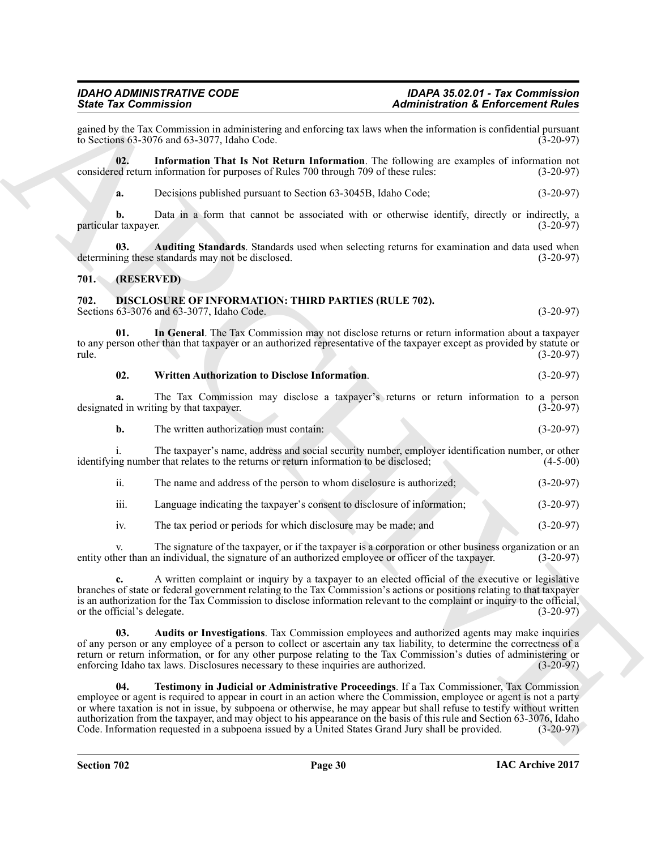## *IDAHO ADMINISTRATIVE CODE IDAPA 35.02.01 - Tax Commission*

gained by the Tax Commission in administering and enforcing tax laws when the information is confidential pursuant to Sections 63-3076 and 63-3077, Idaho Code. (3-20-97) to Sections  $63-3076$  and  $63-3077$ , Idaho Code.

**02. Information That Is Not Return Information**. The following are examples of information not considered return information for purposes of Rules 700 through 709 of these rules: (3-20-97)

<span id="page-29-3"></span><span id="page-29-2"></span>**a.** Decisions published pursuant to Section 63-3045B, Idaho Code; (3-20-97)

**b.** Data in a form that cannot be associated with or otherwise identify, directly or indirectly, a particular taxpayer. (3-20-97)

**03.** Auditing Standards. Standards used when selecting returns for examination and data used when ing these standards may not be disclosed. (3-20-97) determining these standards may not be disclosed.

#### <span id="page-29-0"></span>**701. (RESERVED)**

#### <span id="page-29-4"></span><span id="page-29-1"></span>**702. DISCLOSURE OF INFORMATION: THIRD PARTIES (RULE 702).** Sections 63-3076 and 63-3077, Idaho Code. (3-20-97)

**01. In General**. The Tax Commission may not disclose returns or return information about a taxpayer to any person other than that taxpayer or an authorized representative of the taxpayer except as provided by statute or rule. (3-20-97) rule. (3-20-97)

<span id="page-29-8"></span><span id="page-29-6"></span>

|  | 02 | <b>Written Authorization to Disclose Information.</b> | $(3-20-97)$ |
|--|----|-------------------------------------------------------|-------------|
|--|----|-------------------------------------------------------|-------------|

**a.** The Tax Commission may disclose a taxpayer's returns or return information to a person designated in writing by that taxpayer. (3-20-97)

| b. | The written authorization must contain: |  |
|----|-----------------------------------------|--|
|    |                                         |  |

i. The taxpayer's name, address and social security number, employer identification number, or other identifying number that relates to the returns or return information to be disclosed; (4-5-00)

| The name and address of the person to whom disclosure is authorized: | $(3-20-97)$ |
|----------------------------------------------------------------------|-------------|

iii. Language indicating the taxpayer's consent to disclosure of information; (3-20-97)

iv. The tax period or periods for which disclosure may be made; and (3-20-97)

The signature of the taxpayer, or if the taxpayer is a corporation or other business organization or an entity other than an individual, the signature of an authorized employee or officer of the taxpayer. (3-20-97)

**c.** A written complaint or inquiry by a taxpayer to an elected official of the executive or legislative branches of state or federal government relating to the Tax Commission's actions or positions relating to that taxpayer is an authorization for the Tax Commission to disclose information relevant to the complaint or inquiry to the official, or the official's delegate. (3-20-97) or the official's delegate.

<span id="page-29-7"></span><span id="page-29-5"></span>**03. Audits or Investigations**. Tax Commission employees and authorized agents may make inquiries of any person or any employee of a person to collect or ascertain any tax liability, to determine the correctness of a return or return information, or for any other purpose relating to the Tax Commission's duties of administering or enforcing Idaho tax laws. Disclosures necessary to these inquiries are authorized. (3-20-97)

Since Tax Commission in the transmission of the transmission in the transmission of Enforcement Rules<br>  $\mu$  and Fig. 15. Commission in the transmission between the transmission in the transmission of the transmission of t **04. Testimony in Judicial or Administrative Proceedings**. If a Tax Commissioner, Tax Commission employee or agent is required to appear in court in an action where the Commission, employee or agent is not a party or where taxation is not in issue, by subpoena or otherwise, he may appear but shall refuse to testify without written authorization from the taxpayer, and may object to his appearance on the basis of this rule and Section 63-3076, Idaho Code. Information requested in a subpoena issued by a United States Grand Jury shall be provided. (3-20-97)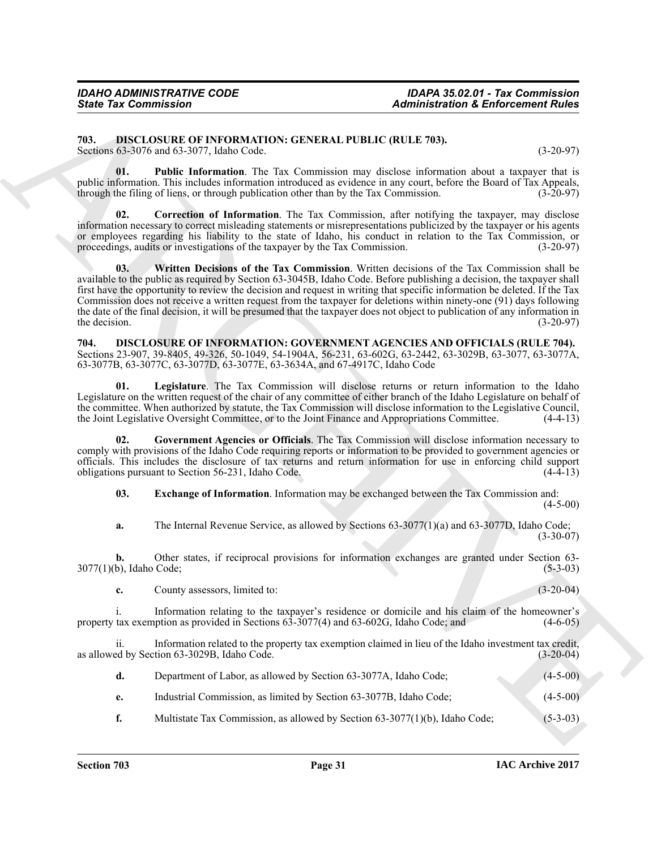#### <span id="page-30-2"></span><span id="page-30-0"></span>**703. DISCLOSURE OF INFORMATION: GENERAL PUBLIC (RULE 703).** Sections 63-3076 and 63-3077, Idaho Code. (3-20-97)

<span id="page-30-4"></span>**01. Public Information**. The Tax Commission may disclose information about a taxpayer that is public information. This includes information introduced as evidence in any court, before the Board of Tax Appeals, through the filing of liens, or through publication other than by the Tax Commission. (3-20-97) through the filing of liens, or through publication other than by the Tax Commission.

<span id="page-30-5"></span><span id="page-30-3"></span>**02. Correction of Information**. The Tax Commission, after notifying the taxpayer, may disclose information necessary to correct misleading statements or misrepresentations publicized by the taxpayer or his agents or employees regarding his liability to the state of Idaho, his conduct in relation to the Tax Commission, or proceedings, audits or investigations of the taxpayer by the Tax Commission. (3-20-97)

Sinte Tax Commission<br>
24 diministration & Enforcement Rules<br>
2013, DBCLOSURY (1990) UNITER ALTERNATION CONTRACTION (2013)<br>
2013 distance of the Commission and distance of the Commission and distance of the Commission and **03. Written Decisions of the Tax Commission**. Written decisions of the Tax Commission shall be available to the public as required by Section 63-3045B, Idaho Code. Before publishing a decision, the taxpayer shall first have the opportunity to review the decision and request in writing that specific information be deleted. If the Tax Commission does not receive a written request from the taxpayer for deletions within ninety-one (91) days following the date of the final decision, it will be presumed that the taxpayer does not object to publication of any information in the decision.  $(3-20-97)$ 

<span id="page-30-6"></span><span id="page-30-1"></span>**704. DISCLOSURE OF INFORMATION: GOVERNMENT AGENCIES AND OFFICIALS (RULE 704).** Sections 23-907, 39-8405, 49-326, 50-1049, 54-1904A, 56-231, 63-602G, 63-2442, 63-3029B, 63-3077, 63-3077A, 63-3077B, 63-3077C, 63-3077D, 63-3077E, 63-3634A, and 67-4917C, Idaho Code

<span id="page-30-9"></span>**01. Legislature**. The Tax Commission will disclose returns or return information to the Idaho Legislature on the written request of the chair of any committee of either branch of the Idaho Legislature on behalf of the committee. When authorized by statute, the Tax Commission will disclose information to the Legislative Council, the Joint Legislative Oversight Committee, or to the Joint Finance and Appropriations Committee. (4-4-13) the Joint Legislative Oversight Committee, or to the Joint Finance and Appropriations Committee.

**02. Government Agencies or Officials**. The Tax Commission will disclose information necessary to comply with provisions of the Idaho Code requiring reports or information to be provided to government agencies or officials. This includes the disclosure of tax returns and return information for use in enforcing child support obligations pursuant to Section 56-231, Idaho Code. (4-4-13)

<span id="page-30-8"></span><span id="page-30-7"></span>**03. Exchange of Information**. Information may be exchanged between the Tax Commission and:

 $(4-5-00)$ 

**a.** The Internal Revenue Service, as allowed by Sections 63-3077(1)(a) and 63-3077D, Idaho Code;  $(3-30-07)$ 

**b.** Other states, if reciprocal provisions for information exchanges are granted under Section 63-3077(1)(b), Idaho Code; (5-3-03)

**c.** County assessors, limited to: (3-20-04)

i. Information relating to the taxpayer's residence or domicile and his claim of the homeowner's property tax exemption as provided in Sections 63-3077(4) and 63-602G, Idaho Code; and (4-6-05)

ii. Information related to the property tax exemption claimed in lieu of the Idaho investment tax credit, in the Section 63-3029B, Idaho Code. as allowed by Section 63-3029B, Idaho Code.

|  | Department of Labor, as allowed by Section 63-3077A, Idaho Code; |  | $(4-5-00)$ |
|--|------------------------------------------------------------------|--|------------|
|--|------------------------------------------------------------------|--|------------|

**e.** Industrial Commission, as limited by Section 63-3077B, Idaho Code; (4-5-00)

**f.** Multistate Tax Commission, as allowed by Section 63-3077(1)(b), Idaho Code; (5-3-03)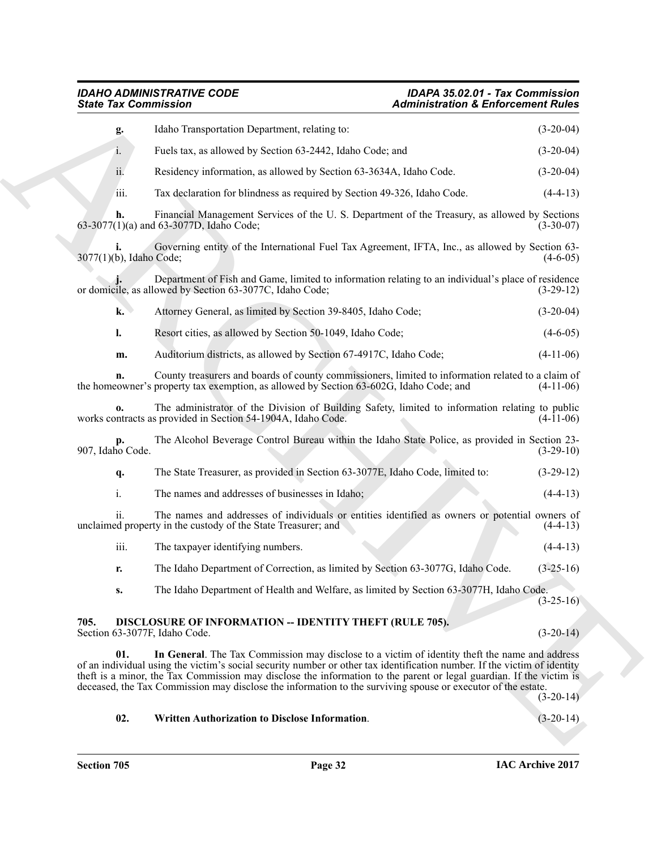## *IDAHO ADMINISTRATIVE CODE IDAPA 35.02.01 - Tax Commission*

## *State Tax Commission Administration & Enforcement Rules*

| <b>State Tax Commission</b> |                                                                                                                                                                                                                                                                                                                                                                                                                                                                   | <b>Administration &amp; Enforcement Rules</b> |  |  |
|-----------------------------|-------------------------------------------------------------------------------------------------------------------------------------------------------------------------------------------------------------------------------------------------------------------------------------------------------------------------------------------------------------------------------------------------------------------------------------------------------------------|-----------------------------------------------|--|--|
| g.                          | Idaho Transportation Department, relating to:                                                                                                                                                                                                                                                                                                                                                                                                                     | $(3-20-04)$                                   |  |  |
| 1.                          | Fuels tax, as allowed by Section 63-2442, Idaho Code; and                                                                                                                                                                                                                                                                                                                                                                                                         | $(3-20-04)$                                   |  |  |
| ii.                         | Residency information, as allowed by Section 63-3634A, Idaho Code.                                                                                                                                                                                                                                                                                                                                                                                                | $(3-20-04)$                                   |  |  |
| iii.                        | Tax declaration for blindness as required by Section 49-326, Idaho Code.                                                                                                                                                                                                                                                                                                                                                                                          | $(4-4-13)$                                    |  |  |
| h.                          | Financial Management Services of the U.S. Department of the Treasury, as allowed by Sections<br>63-3077(1)(a) and 63-3077D, Idaho Code;                                                                                                                                                                                                                                                                                                                           | $(3-30-07)$                                   |  |  |
| 3077(1)(b), Idaho Code;     | Governing entity of the International Fuel Tax Agreement, IFTA, Inc., as allowed by Section 63-                                                                                                                                                                                                                                                                                                                                                                   | $(4-6-05)$                                    |  |  |
|                             | Department of Fish and Game, limited to information relating to an individual's place of residence<br>or domicile, as allowed by Section 63-3077C, Idaho Code;                                                                                                                                                                                                                                                                                                    | $(3-29-12)$                                   |  |  |
| k.                          | Attorney General, as limited by Section 39-8405, Idaho Code;                                                                                                                                                                                                                                                                                                                                                                                                      | $(3-20-04)$                                   |  |  |
| l.                          | Resort cities, as allowed by Section 50-1049, Idaho Code;                                                                                                                                                                                                                                                                                                                                                                                                         | $(4-6-05)$                                    |  |  |
| m.                          | Auditorium districts, as allowed by Section 67-4917C, Idaho Code;                                                                                                                                                                                                                                                                                                                                                                                                 | $(4-11-06)$                                   |  |  |
| n.                          | County treasurers and boards of county commissioners, limited to information related to a claim of<br>the homeowner's property tax exemption, as allowed by Section 63-602G, Idaho Code; and                                                                                                                                                                                                                                                                      | $(4-11-06)$                                   |  |  |
| 0.                          | The administrator of the Division of Building Safety, limited to information relating to public<br>works contracts as provided in Section 54-1904A, Idaho Code.                                                                                                                                                                                                                                                                                                   | $(4-11-06)$                                   |  |  |
| 907, Idaho Code.            | The Alcohol Beverage Control Bureau within the Idaho State Police, as provided in Section 23-                                                                                                                                                                                                                                                                                                                                                                     | $(3-29-10)$                                   |  |  |
| q.                          | The State Treasurer, as provided in Section 63-3077E, Idaho Code, limited to:                                                                                                                                                                                                                                                                                                                                                                                     | $(3-29-12)$                                   |  |  |
| i.                          | The names and addresses of businesses in Idaho;                                                                                                                                                                                                                                                                                                                                                                                                                   | $(4-4-13)$                                    |  |  |
| ii.                         | The names and addresses of individuals or entities identified as owners or potential owners of<br>unclaimed property in the custody of the State Treasurer; and                                                                                                                                                                                                                                                                                                   | $(4-4-13)$                                    |  |  |
| iii.                        | The taxpayer identifying numbers.                                                                                                                                                                                                                                                                                                                                                                                                                                 | $(4-4-13)$                                    |  |  |
| r.                          | The Idaho Department of Correction, as limited by Section 63-3077G, Idaho Code.                                                                                                                                                                                                                                                                                                                                                                                   | $(3-25-16)$                                   |  |  |
| S.                          | The Idaho Department of Health and Welfare, as limited by Section 63-3077H, Idaho Code.                                                                                                                                                                                                                                                                                                                                                                           | $(3-25-16)$                                   |  |  |
| 705.                        | DISCLOSURE OF INFORMATION -- IDENTITY THEFT (RULE 705).<br>Section 63-3077F, Idaho Code.                                                                                                                                                                                                                                                                                                                                                                          | $(3-20-14)$                                   |  |  |
| 01.                         | In General. The Tax Commission may disclose to a victim of identity theft the name and address<br>of an individual using the victim's social security number or other tax identification number. If the victim of identity<br>theft is a minor, the Tax Commission may disclose the information to the parent or legal guardian. If the victim is<br>deceased, the Tax Commission may disclose the information to the surviving spouse or executor of the estate. | $(3-20-14)$                                   |  |  |
| 02.                         | Written Authorization to Disclose Information.                                                                                                                                                                                                                                                                                                                                                                                                                    | $(3-20-14)$                                   |  |  |

### <span id="page-31-3"></span><span id="page-31-2"></span><span id="page-31-1"></span><span id="page-31-0"></span>**02. Written Authorization to Disclose Information**. (3-20-14)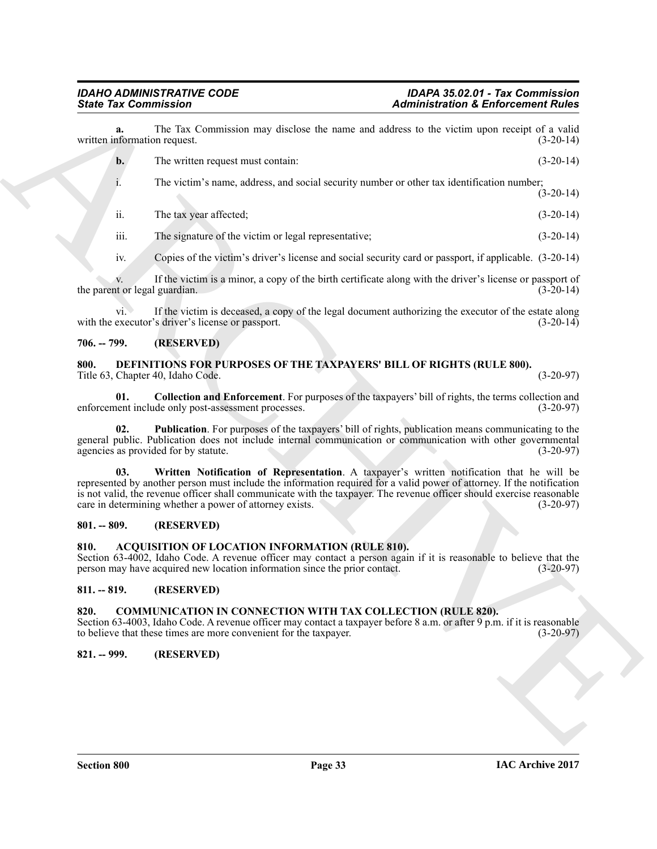**a.** The Tax Commission may disclose the name and address to the victim upon receipt of a valid information request. (3-20-14) written information request.

**b.** The written request must contain: (3-20-14)

i. The victim's name, address, and social security number or other tax identification number;  $(3-20-14)$ 

ii. The tax year affected; (3-20-14)

iii. The signature of the victim or legal representative; (3-20-14)

iv. Copies of the victim's driver's license and social security card or passport, if applicable. (3-20-14)

v. If the victim is a minor, a copy of the birth certificate along with the driver's license or passport of tor legal guardian. (3-20-14) the parent or legal guardian.

vi. If the victim is deceased, a copy of the legal document authorizing the executor of the estate along with the executor's driver's license or passport. (3-20-14)

### <span id="page-32-0"></span>**706. -- 799. (RESERVED)**

#### <span id="page-32-9"></span><span id="page-32-1"></span>**800. DEFINITIONS FOR PURPOSES OF THE TAXPAYERS' BILL OF RIGHTS (RULE 800).** Title 63, Chapter 40, Idaho Code. (3-20-97)

<span id="page-32-10"></span>**01. Collection and Enforcement**. For purposes of the taxpayers' bill of rights, the terms collection and enforcement include only post-assessment processes. (3-20-97)

<span id="page-32-12"></span><span id="page-32-11"></span>**02. Publication**. For purposes of the taxpayers' bill of rights, publication means communicating to the general public. Publication does not include internal communication or communication with other governmental agencies as provided for by statute. (3-20-97) agencies as provided for by statute.

Sinte Yar Commission . And the second commission is a factorization of Enforcement Rotation .<br>
written allows the two seconds are two sets of the second and the second of the second of the second of the second of the seco **03. Written Notification of Representation**. A taxpayer's written notification that he will be represented by another person must include the information required for a valid power of attorney. If the notification is not valid, the revenue officer shall communicate with the taxpayer. The revenue officer should exercise reasonable care in determining whether a power of attorney exists. (3-20-97)

#### <span id="page-32-2"></span>**801. -- 809. (RESERVED)**

#### <span id="page-32-7"></span><span id="page-32-3"></span>**810. ACQUISITION OF LOCATION INFORMATION (RULE 810).**

Section 63-4002, Idaho Code. A revenue officer may contact a person again if it is reasonable to believe that the person may have acquired new location information since the prior contact. (3-20-97)

### <span id="page-32-4"></span>**811. -- 819. (RESERVED)**

#### <span id="page-32-8"></span><span id="page-32-5"></span>**820. COMMUNICATION IN CONNECTION WITH TAX COLLECTION (RULE 820).**

Section 63-4003, Idaho Code. A revenue officer may contact a taxpayer before 8 a.m. or after 9 p.m. if it is reasonable to believe that these times are more convenient for the taxpayer. (3-20-97)

#### <span id="page-32-6"></span>**821. -- 999. (RESERVED)**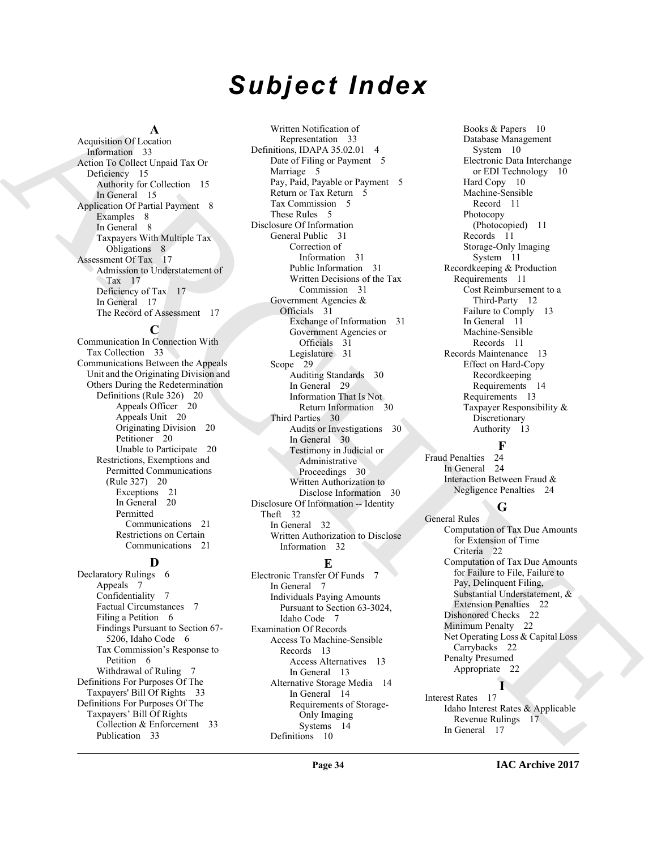# *Subject Index*

#### **A**

Acquisition Of Location Information 33 Action To Collect Unpaid Tax Or Deficiency 15 Authority for Collection 15 In General 15 Application Of Partial Payment 8 Examples 8 In General 8 Taxpayers With Multiple Tax Obligations 8 Assessment Of Tax 17 Admission to Understatement of Tax 17 Deficiency of Tax 17 In General 17 The Record of Assessment 17

#### **C**

Communication In Connection With Tax Collection 33 Communications Between the Appeals Unit and the Originating Division and Others During the Redetermination Definitions (Rule 326) 20 Appeals Officer 20 Appeals Unit 20 Originating Division 20 Petitioner 20 Unable to Participate 20 Restrictions, Exemptions and Permitted Communications (Rule 327) 20 Exceptions 21 In General 20 Permitted Communications 21 Restrictions on Certain Communications 21

#### **D**

Declaratory Rulings 6 Appeals 7 Confidentiality 7 Factual Circumstances 7 Filing a Petition 6 Findings Pursuant to Section 67- 5206, Idaho Code 6 Tax Commission's Response to Petition 6 Withdrawal of Ruling 7 Definitions For Purposes Of The Taxpayers' Bill Of Rights 33 Definitions For Purposes Of The Taxpayers' Bill Of Rights Collection & Enforcement 33 Publication 33

[A](#page-32-7)rquite<br>
Angle Colle (1970) - Marcos Colle (1980) - Marcos Colle (1980) - Marcos Colle (1980)<br>
A[R](#page-7-7)[C](#page-30-6)[H](#page-29-7)[I](#page-21-2)[V](#page-21-3)[E](#page-21-6)R (1980) - Marcos Colle (1980) - Marcos Colle (1980) - Marcos Colle (1980)<br>
- Marcos Collection 15 (1980) - Marcos Coll Written Notification of Representation 33 Definitions, IDAPA 35.02.01 4 Date of Filing or Payment 5 Marriage 5 Pay, Paid, Payable or Payment 5 Return or Tax Return 5 Tax Commission 5 These Rules 5 Disclosure Of Information General Public 31 Correction of Information 31 Public Information 31 Written Decisions of the Tax Commission 31 Government Agencies & Officials 31 Exchange of Information 31 Government Agencies or Officials 31 Legislature 31 Scope 29 Auditing Standards 30 In General 29 Information That Is Not Return Information 30 Third Parties 30 Audits or Investigations 30 In General 30 Testimony in Judicial or Administrative Proceedings 30 Written Authorization to Disclose Information 30 Disclosure Of Information -- Identity Theft 32 In General 32 Written Authorization to Disclose Information 32

#### **E**

Electronic Transfer Of Funds 7 In General 7 Individuals Paying Amounts Pursuant to Section 63-3024, Idaho Code 7 Examination Of Records Access To Machine-Sensible Records 13 Access Alternatives 13 In General 13 Alternative Storage Media 14 In General 14 Requirements of Storage-Only Imaging Systems 14 Definitions 10

Books & Papers 10 Database Management System 10 Electronic Data Interchange or EDI Technology 10 Hard Copy 10 Machine-Sensible Record 11 Photocopy (Photocopied) 11 Records 11 Storage-Only Imaging System 11 Recordkeeping & Production Requirements 11 Cost Reimbursement to a Third-Party 12 Failure to Comply 13 In General 11 Machine-Sensible Records 11 Records Maintenance 13 Effect on Hard-Copy Recordkeeping Requirements 14 Requirements 13 Taxpayer Responsibility & Discretionary Authority 13

 $\frac{F}{24}$ Fraud Penalties In General 24 Interaction Between Fraud & Negligence Penalties 24

#### **G**

General Rules Computation of Tax Due Amounts for Extension of Time Criteria 22 Computation of Tax Due Amounts for Failure to File, Failure to Pay, Delinquent Filing, Substantial Understatement, & Extension Penalties 22 Dishonored Checks 22 Minimum Penalty 22 Net Operating Loss & Capital Loss Carrybacks 22 Penalty Presumed Appropriate 22 **I**

Interest Rates 17 Idaho Interest Rates & Applicable Revenue Rulings 17 In General 17